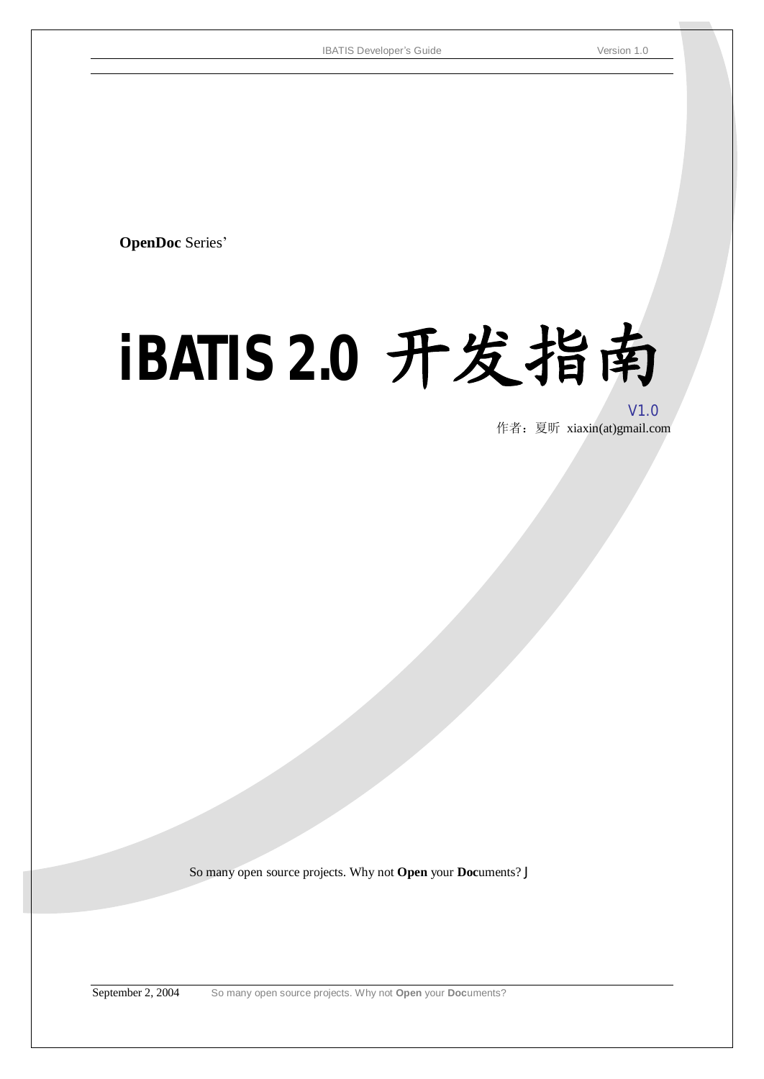**OpenDoc** Series'

# **iBATIS 2.0** 开发指南

V1.0 作者:夏昕 xiaxin(at)gmail.com

So many open source projects. Why not **Open** your **Doc**uments? J

September 2, 2004 So many open source projects. Why not **Open** your **Doc**uments?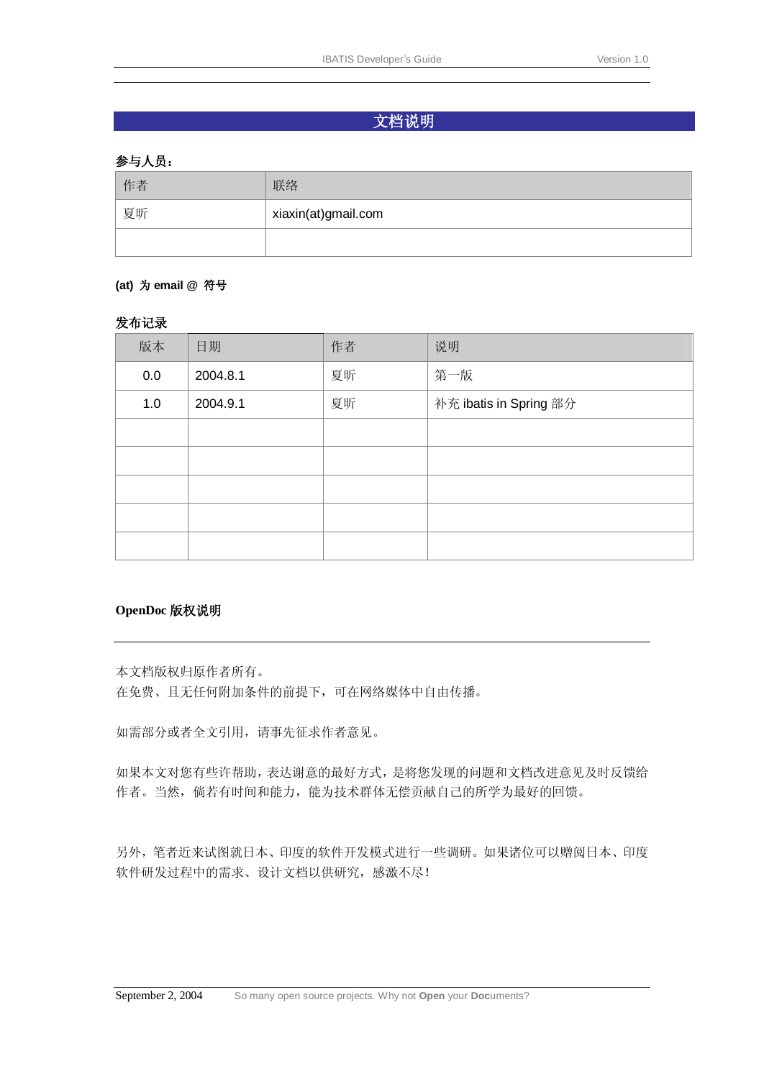## 文档说明

#### 参与人员:

| 作者 | 联络                  |  |
|----|---------------------|--|
| 夏昕 | xiaxin(at)gmail.com |  |
|    |                     |  |

#### **(at)** 为 **email @** 符号

#### 发布记录

| 版本  | 日期       | 作者 | 说明                     |
|-----|----------|----|------------------------|
| 0.0 | 2004.8.1 | 夏昕 | 第一版                    |
| 1.0 | 2004.9.1 | 夏昕 | 补充 ibatis in Spring 部分 |
|     |          |    |                        |
|     |          |    |                        |
|     |          |    |                        |
|     |          |    |                        |
|     |          |    |                        |

#### **OpenDoc** 版权说明

本文档版权归原作者所有。

在免费、且无任何附加条件的前提下,可在网络媒体中自由传播。

如需部分或者全文引用,请事先征求作者意见。

如果本文对您有些许帮助,表达谢意的最好方式,是将您发现的问题和文档改进意见及时反馈给 作者。当然,倘若有时间和能力,能为技术群体无偿贡献自己的所学为最好的回馈。

另外,笔者近来试图就日本、印度的软件开发模式进行一些调研。如果诸位可以赠阅日本、印度 软件研发过程中的需求、设计文档以供研究,感激不尽!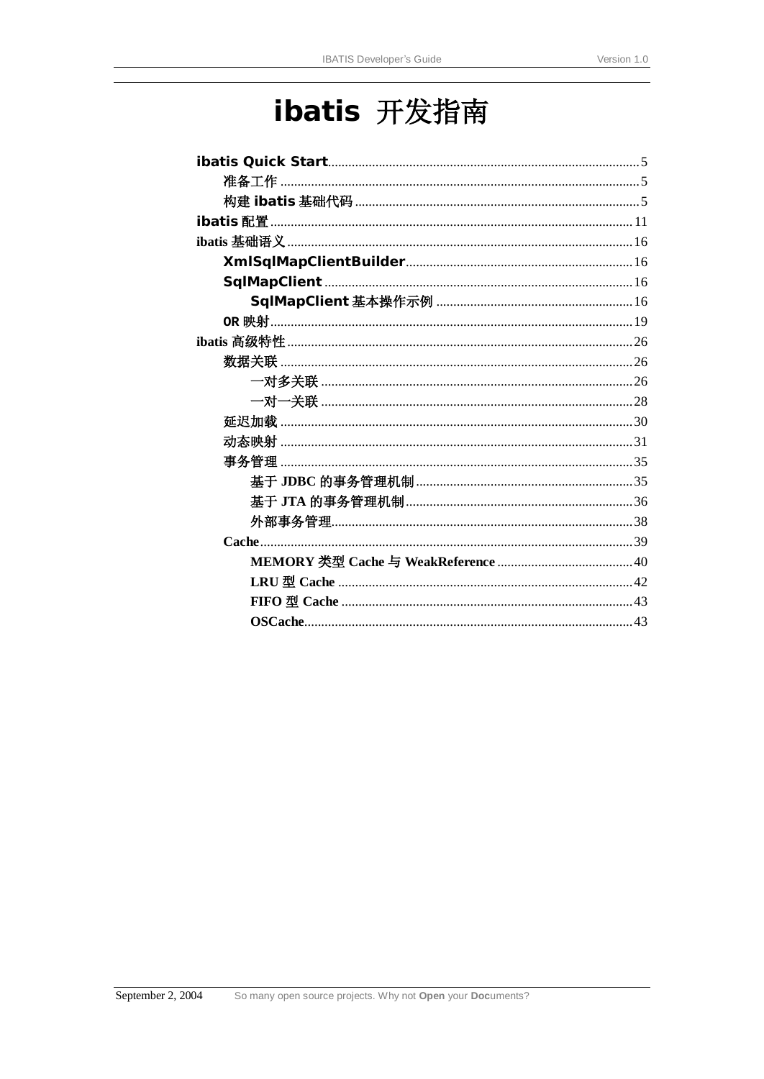# ibatis 开发指南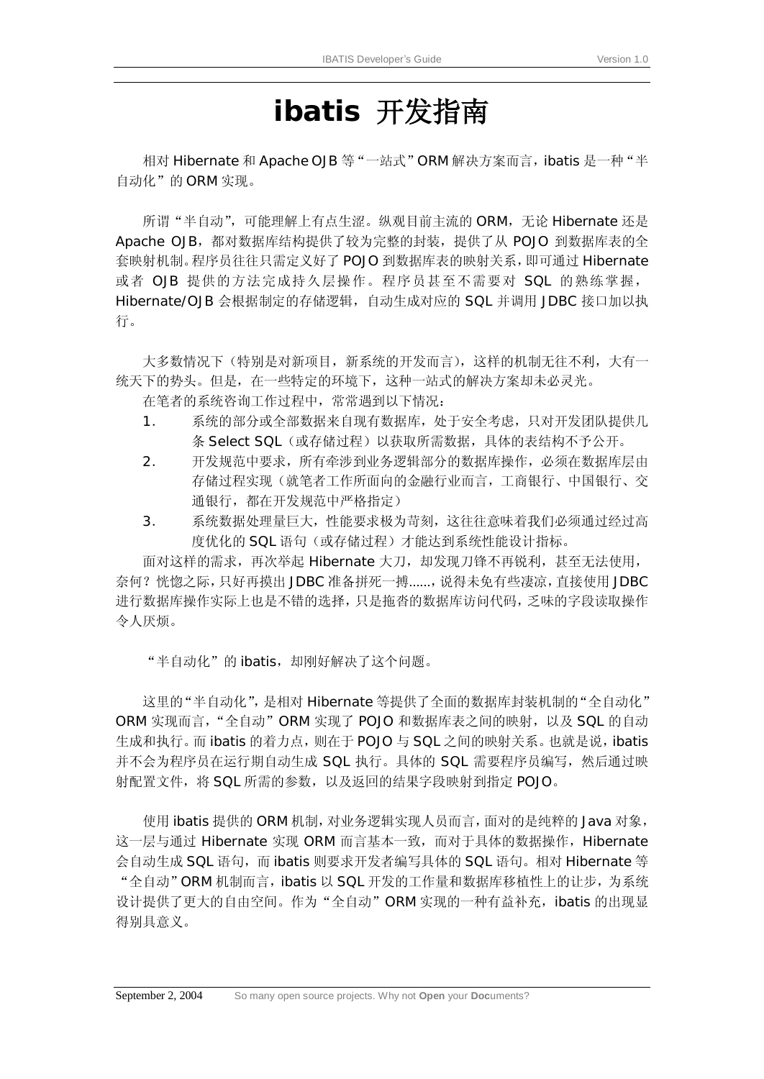## **ibatis** 开发指南

相对 Hibernate 和 Apache OJB 等 "一站式" ORM 解决方案而言, ibatis 是一种 "半 自动化"的ORM实现。

所谓"半自动",可能理解上有点生涩。纵观目前主流的 ORM,无论 Hibernate 还是 Apache OJB,都对数据库结构提供了较为完整的封装,提供了从 POJO 到数据库表的全 套映射机制。程序员往往只需定义好了 POJO 到数据库表的映射关系,即可通过 Hibernate 或者 OJB 提供的方法完成持久层操作。程序员甚至不需要对 SQL 的熟练掌握, Hibernate/OJB 会根据制定的存储逻辑,自动生成对应的 SQL 并调用 JDBC 接口加以执 行。

大多数情况下(特别是对新项目,新系统的开发而言),这样的机制无往不利,大有一 统天下的势头。但是,在一些特定的环境下,这种一站式的解决方案却未必灵光。

在笔者的系统咨询工作过程中,常常遇到以下情况:

- 1. 系统的部分或全部数据来自现有数据库,处于安全考虑,只对开发团队提供几 条 Select SQL (或存储过程)以获取所需数据, 具体的表结构不予公开。
- 2. 开发规范中要求,所有牵涉到业务逻辑部分的数据库操作,必须在数据库层由 存储过程实现(就笔者工作所面向的金融行业而言,工商银行、中国银行、交 通银行,都在开发规范中严格指定)
- 3. 系统数据处理量巨大,性能要求极为苛刻,这往往意味着我们必须通过经过高 度优化的 SQL 语句(或存储过程)才能达到系统性能设计指标。

面对这样的需求,再次举起 Hibernate 大刀,却发现刀锋不再锐利,甚至无法使用, 奈何?恍惚之际,只好再摸出 JDBC 准备拼死一搏……, 说得未免有些凄凉, 直接使用 JDBC 进行数据库操作实际上也是不错的选择,只是拖沓的数据库访问代码,乏味的字段读取操作 令人厌烦。

"半自动化"的 ibatis, 却刚好解决了这个问题。

这里的"半自动化",是相对 Hibernate 等提供了全面的数据库封装机制的"全自动化" ORM 实现而言, "全自动" ORM 实现了 POJO 和数据库表之间的映射, 以及 SQL 的自动 生成和执行。而 ibatis 的着力点, 则在于 POJO 与 SQL 之间的映射关系。也就是说, ibatis 并不会为程序员在运行期自动生成 SQL 执行。具体的 SQL 需要程序员编写, 然后通过映 射配置文件,将 SQL 所需的参数, 以及返回的结果字段映射到指定 POJO。

使用 ibatis 提供的 ORM 机制,对业务逻辑实现人员而言,面对的是纯粹的 Java 对象, 这一层与通过 Hibernate 实现 ORM 而言基本一致, 而对于具体的数据操作, Hibernate 会自动生成 SQL 语句,而 ibatis 则要求开发者编写具体的 SQL 语句。相对 Hibernate 等 "全自动"ORM 机制而言, ibatis 以 SQL 开发的工作量和数据库移植性上的让步, 为系统 设计提供了更大的自由空间。作为"全自动"ORM 实现的一种有益补充,ibatis 的出现显 得别具意义。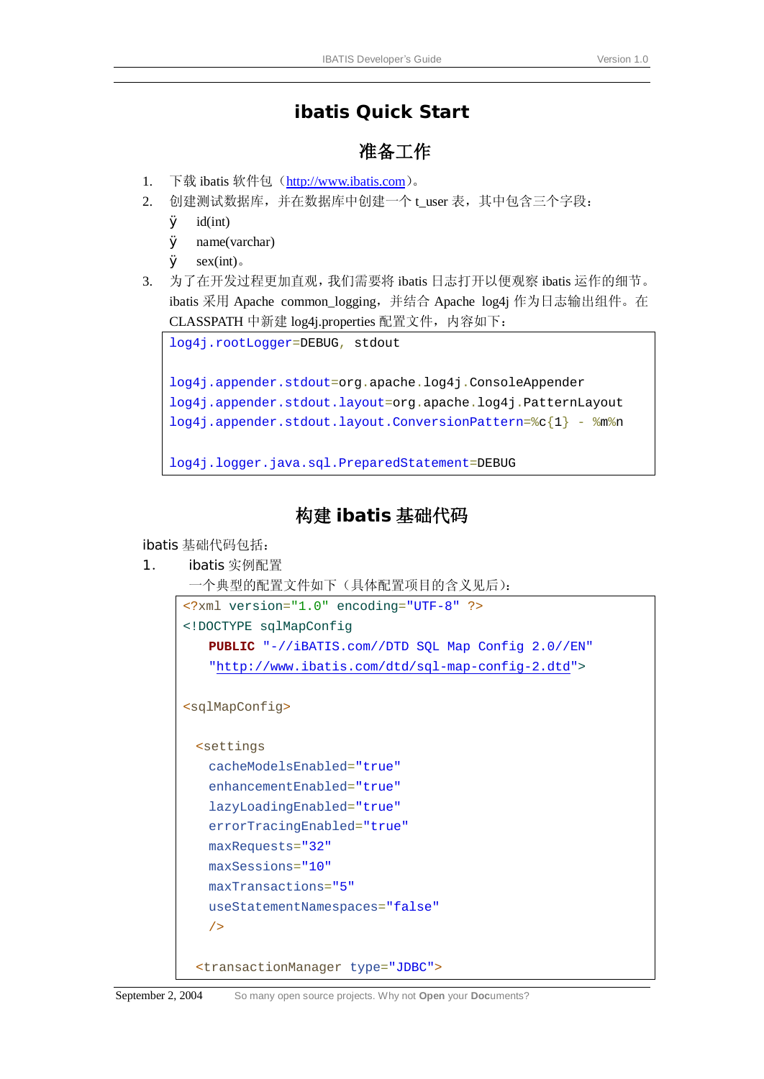## **ibatis Quick Start**

## 准备工作

- 1. 下载 ibatis 软件包(<http://www.ibatis.com>)。
- 2. 创建测试数据库,并在数据库中创建一个 t user 表, 其中包含三个字段:
	- $\boldsymbol{\emptyset}$  id(int)
	- Ø name(varchar)
	- $\boldsymbol{\emptyset}$  sex(int).
- 3. 为了在开发过程更加直观,我们需要将 ibatis 日志打开以便观察 ibatis 运作的细节。 ibatis 采用 Apache common logging, 并结合 Apache log4j 作为日志输出组件。在 CLASSPATH 中新建 log4j.properties 配置文件, 内容如下:

```
log4j.rootLogger=DEBUG, stdout 
log4j.appender.stdout=org.apache.log4j.ConsoleAppender 
log4j.appender.stdout.layout=org.apache.log4j.PatternLayout 
log4j.appender.stdout.layout.ConversionPattern=%c{1} - %m%n 
log4j.logger.java.sql.PreparedStatement=DEBUG
```
## 构建 **ibatis** 基础代码

ibatis 基础代码包括:

1. ibatis 实例配置

```
一个典型的配置文件如下(具体配置项目的含义见后):
```

```
<?xml version="1.0" encoding="UTF-8" ?>
<!DOCTYPE sqlMapConfig
    PUBLIC "-//iBATIS.com//DTD SQL Map Config 2.0//EN"
    "http://www.ibatis.com/dtd/sql-map-config-2.dtd">
<sqlMapConfig>
  <settings
    cacheModelsEnabled="true" 
    enhancementEnabled="true" 
    lazyLoadingEnabled="true" 
    errorTracingEnabled="true" 
    maxRequests="32" 
    maxSessions="10" 
    maxTransactions="5" 
    useStatementNamespaces="false" 
    />
  <transactionManager type="JDBC">
```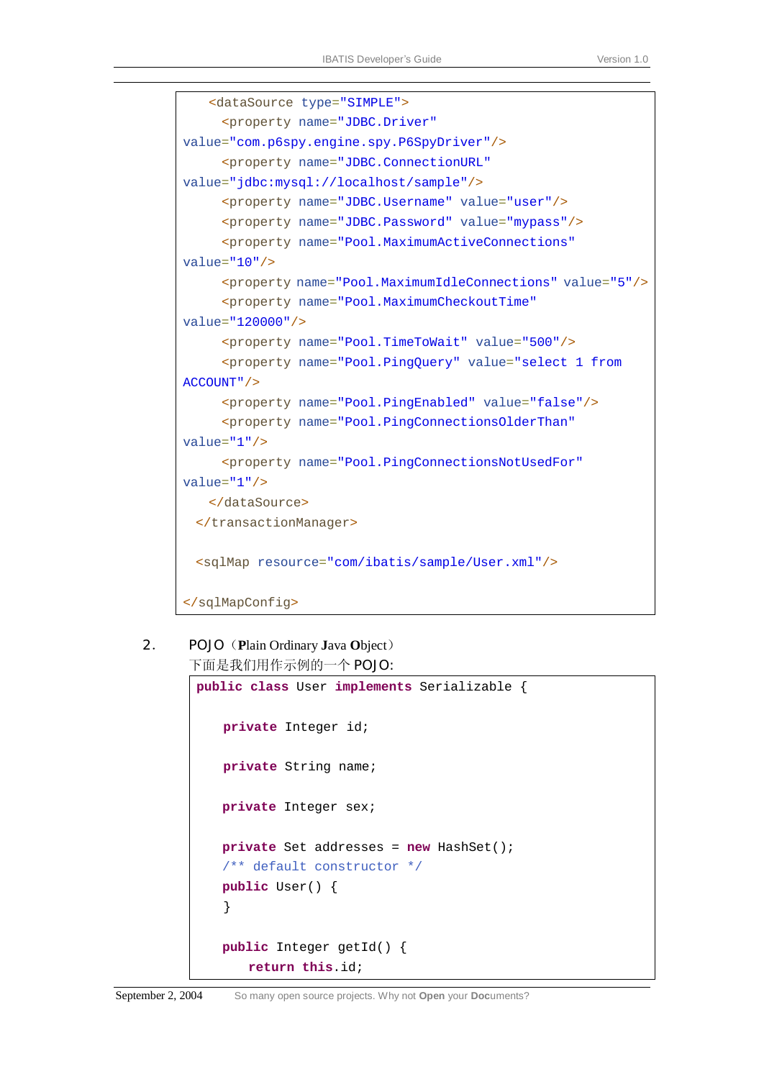```
 <dataSource type="SIMPLE">
      <property name="JDBC.Driver"
value="com.p6spy.engine.spy.P6SpyDriver"/>
      <property name="JDBC.ConnectionURL"
value="jdbc:mysql://localhost/sample"/>
      <property name="JDBC.Username" value="user"/>
      <property name="JDBC.Password" value="mypass"/>
      <property name="Pool.MaximumActiveConnections"
value="10"/>
      <property name="Pool.MaximumIdleConnections" value="5"/>
      <property name="Pool.MaximumCheckoutTime"
value="120000"/>
      <property name="Pool.TimeToWait" value="500"/>
      <property name="Pool.PingQuery" value="select 1 from 
ACCOUNT"/>
      <property name="Pool.PingEnabled" value="false"/>
      <property name="Pool.PingConnectionsOlderThan"
value="1"/>
      <property name="Pool.PingConnectionsNotUsedFor"
value="1"/>
    </dataSource>
  </transactionManager>
  <sqlMap resource="com/ibatis/sample/User.xml"/>
</sqlMapConfig>
```

```
2. POJO(Plain Ordinary Java Object)
     下面是我们用作示例的一个 POJO:
```

```
public class User implements Serializable { 
   private Integer id; 
   private String name; 
    private Integer sex; 
    private Set addresses = new HashSet(); 
    /** default constructor */
    public User() { 
    } 
    public Integer getId() { 
        return this.id;
```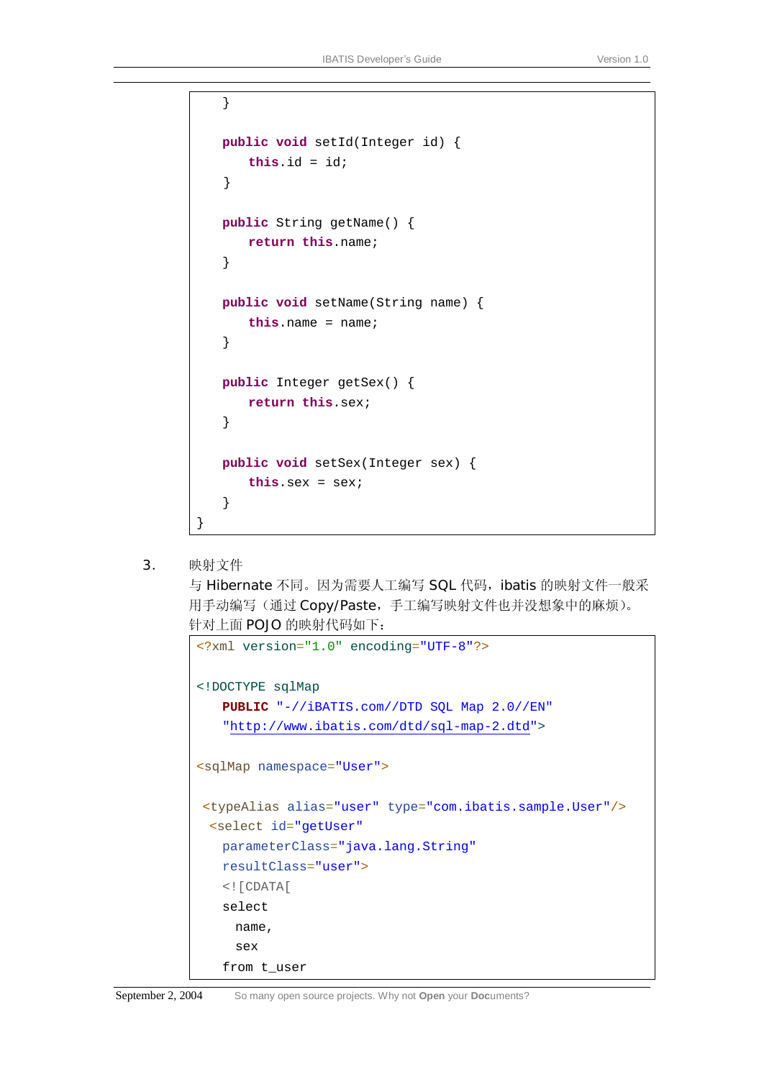```
 } 
 public void setId(Integer id) { 
     this.id = id; 
} 
 public String getName() { 
    return this.name; 
 } 
 public void setName(String name) { 
     this.name = name; 
 } 
 public Integer getSex() { 
    return this.sex; 
 } 
 public void setSex(Integer sex) { 
     this.sex = sex; 
 }
```
3. 映射文件

}

与 Hibernate 不同。因为需要人工编写 SQL 代码, ibatis 的映射文件一般采 用手动编写(通过 Copy/Paste,手工编写映射文件也并没想象中的麻烦)。 针对上面 POJO 的映射代码如下:

```
<?xml version="1.0" encoding="UTF-8"?>
<!DOCTYPE sqlMap
    PUBLIC "-//iBATIS.com//DTD SQL Map 2.0//EN"
    "http://www.ibatis.com/dtd/sql-map-2.dtd">
<sqlMap namespace="User">
<typeAlias alias="user" type="com.ibatis.sample.User"/> 
  <select id="getUser"
    parameterClass="java.lang.String"
    resultClass="user">
    <![CDATA[
    select 
      name, 
      sex 
    from t_user
```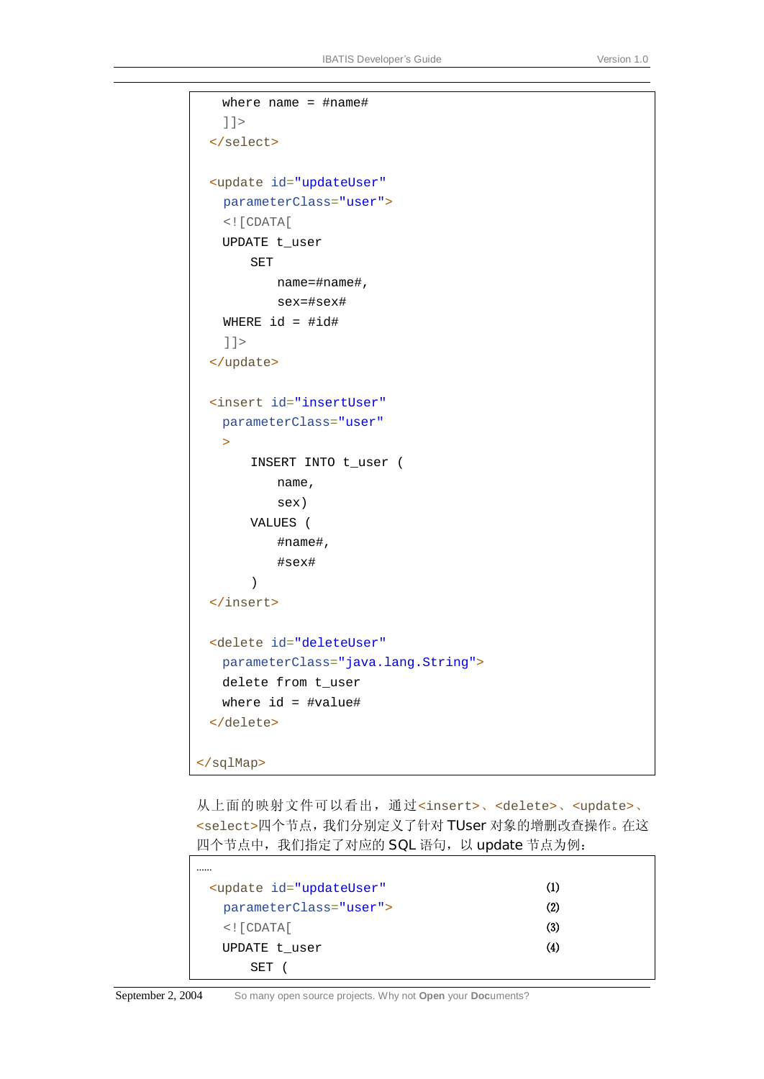```
 where name = #name# 
    ]]>
  </select>
  <update id="updateUser"
   parameterClass="user"> 
   <![CDATA[
    UPDATE t_user 
       SET 
           name=#name#, 
           sex=#sex# 
   WHERE id = #id#]] >
  </update>
  <insert id="insertUser"
    parameterClass="user"
   \rightarrowINSERT INTO t_user ( 
           name, 
           sex) 
       VALUES ( 
            #name#, 
            #sex# 
        ) 
  </insert> 
  <delete id="deleteUser"
    parameterClass="java.lang.String">
    delete from t_user 
    where id = #value# 
  </delete> 
</sqlMap>
```
从上面的映射文件可以看出,通过<insert>、<delete>、<update>、 <select>四个节点,我们分别定义了针对 TUser 对象的增删改查操作。在这 四个节点中,我们指定了对应的 SQL 语句, 以 update 节点为例:

| <update <="" id="updateUser" td=""><td>(1)</td></update> | (1) |
|----------------------------------------------------------|-----|
| parameterClass="user">                                   | (2) |
| $\lt$ ! [ $CDATA$ [                                      | (3) |
| UPDATE t user                                            | (4) |
| SET                                                      |     |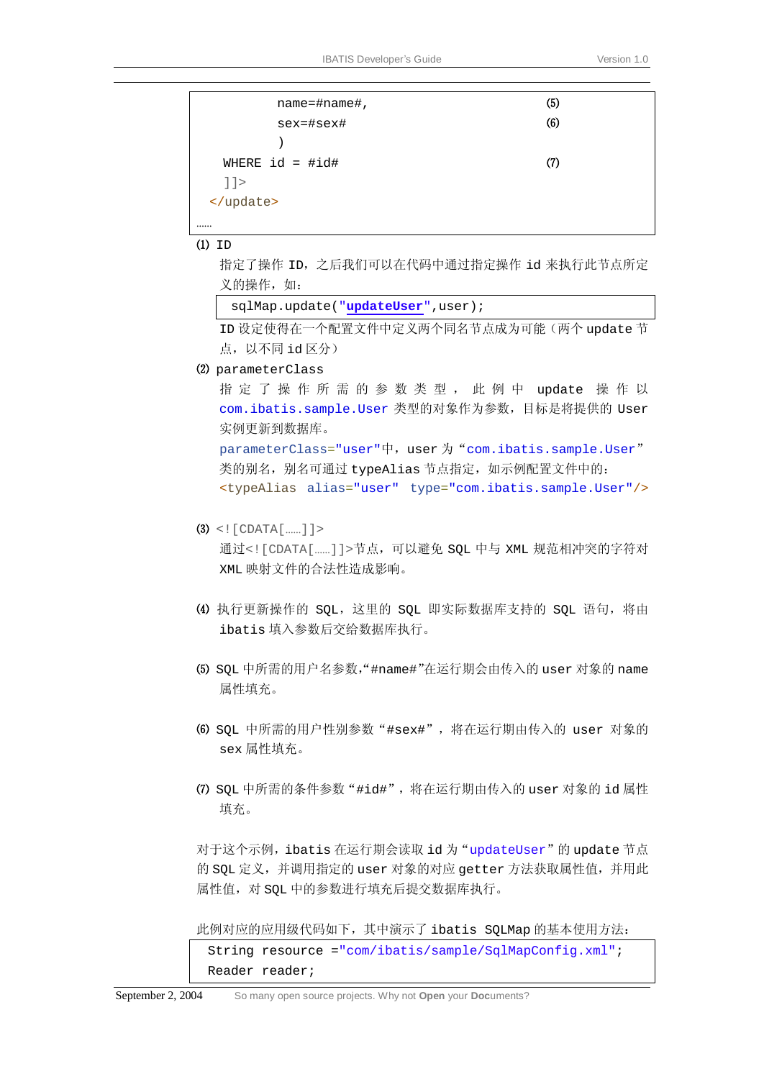| (5) |  |
|-----|--|
| (6) |  |
|     |  |
| (7) |  |
|     |  |
|     |  |
|     |  |
|     |  |

 $(1)$  ID

指定了操作 ID,之后我们可以在代码中通过指定操作 id 来执行此节点所定 义的操作,如:

sqlMap.update("**updateUser**",user);

ID 设定使得在一个配置文件中定义两个同名节点成为可能(两个 update 节 点,以不同 id 区分)

⑵ parameterClass

指 定 了 操 作 所 需 的 参 数 类 型 , 此 例 中 update 操 作 以 com.ibatis.sample.User 类型的对象作为参数,目标是将提供的 User 实例更新到数据库。

parameterClass="user"中, user 为 "com.ibatis.sample.User" 类的别名,别名可通过 typeAlias 节点指定, 如示例配置文件中的: <typeAlias alias="user" type="com.ibatis.sample.User"/>

#### $(3)$  <! [CDATA[……]] >

通过<![CDATA[……]]>节点,可以避免 SQL 中与 XML 规范相冲突的字符对 XML 映射文件的合法性造成影响。

- ⑷ 执行更新操作的 SQL,这里的 SQL 即实际数据库支持的 SQL 语句,将由 ibatis 填入参数后交给数据库执行。
- ⑸ SQL 中所需的用户名参数,"#name#"在运行期会由传入的 user 对象的 name 属性填充。
- ⑹ SQL 中所需的用户性别参数"#sex#",将在运行期由传入的 user 对象的 sex 属性填充。
- ⑺ SQL 中所需的条件参数"#id#",将在运行期由传入的 user 对象的 id 属性 填充。

对于这个示例, ibatis 在运行期会读取 id 为 "updateUser"的 update 节点 的 SQL 定义,并调用指定的 user 对象的对应 getter 方法获取属性值,并用此 属性值,对 SQL 中的参数进行填充后提交数据库执行。

此例对应的应用级代码如下,其中演示了 ibatis SQLMap 的基本使用方法:

String resource ="com/ibatis/sample/SqlMapConfig.xml"; Reader reader;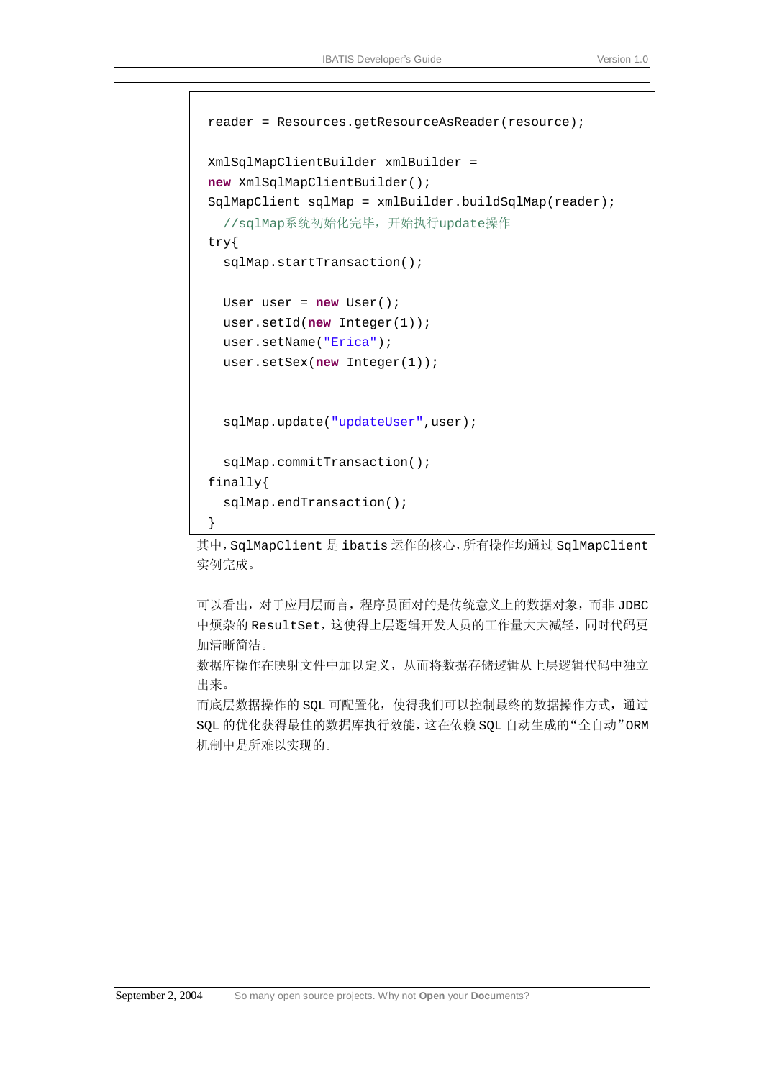```
reader = Resources.getResourceAsReader(resource); 
XmlSqlMapClientBuilder xmlBuilder = 
new XmlSqlMapClientBuilder(); 
SqlMapClient sqlMap = xmlBuilder.buildSqlMap(reader); 
  //sqlMap系统初始化完毕,开始执行update操作
try{ 
  sqlMap.startTransaction(); 
 User user = new User(); 
  user.setId(new Integer(1)); 
 user.setName("Erica"); 
  user.setSex(new Integer(1)); 
  sqlMap.update("updateUser",user);
  sqlMap.commitTransaction(); 
finally{ 
  sqlMap.endTransaction(); 
}
```
其中, SqlMapClient 是 ibatis 运作的核心, 所有操作均通过 SqlMapClient 实例完成。

可以看出,对于应用层而言,程序员面对的是传统意义上的数据对象,而非 JDBC 中烦杂的 ResultSet,这使得上层逻辑开发人员的工作量大大减轻,同时代码更 加清晰简洁。

数据库操作在映射文件中加以定义,从而将数据存储逻辑从上层逻辑代码中独立 出来。

而底层数据操作的 SQL 可配置化,使得我们可以控制最终的数据操作方式,通过 SQL 的优化获得最佳的数据库执行效能,这在依赖 SQL 自动生成的"全自动"ORM 机制中是所难以实现的。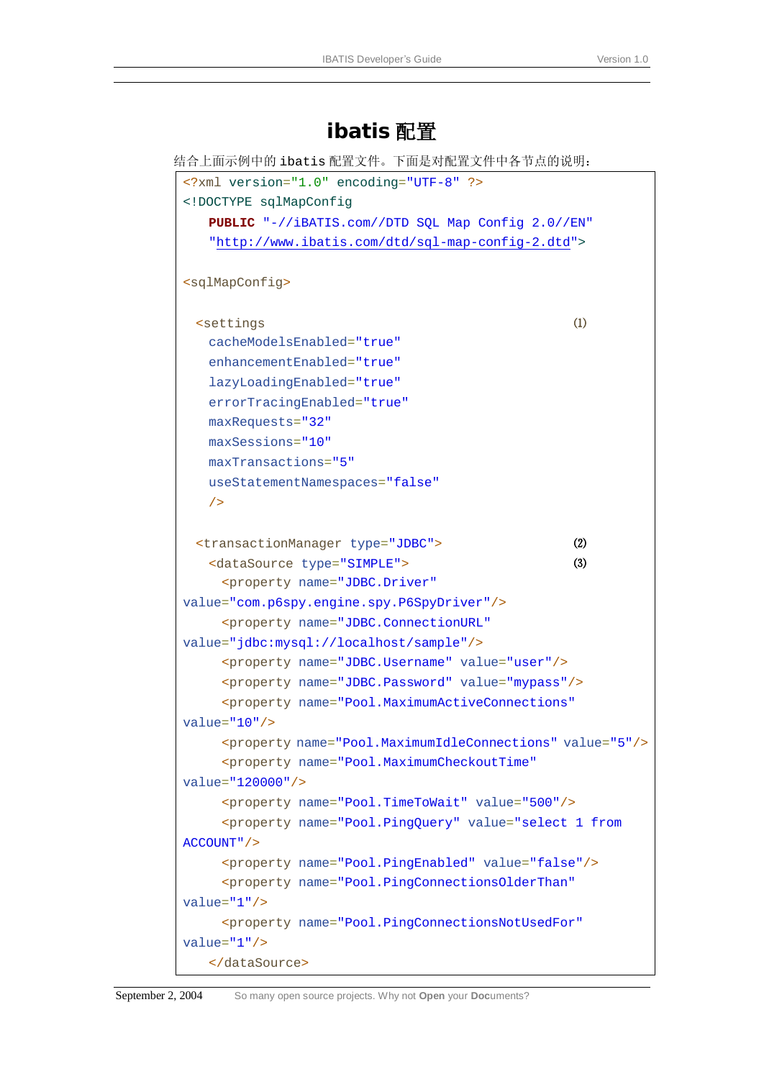## **ibatis** 配置

```
结合上面示例中的 ibatis 配置文件。下面是对配置文件中各节点的说明:
 <?xml version="1.0" encoding="UTF-8" ?>
 <!DOCTYPE sqlMapConfig
     PUBLIC "-//iBATIS.com//DTD SQL Map Config 2.0//EN"
     "http://www.ibatis.com/dtd/sql-map-config-2.dtd">
 <sqlMapConfig>
   <settings ⑴
     cacheModelsEnabled="true" 
     enhancementEnabled="true" 
     lazyLoadingEnabled="true" 
     errorTracingEnabled="true" 
     maxRequests="32" 
     maxSessions="10" 
     maxTransactions="5" 
     useStatementNamespaces="false" 
     />
   <transactionManager type="JDBC"> ⑵
     <dataSource type="SIMPLE"> ⑶
       <property name="JDBC.Driver"
 value="com.p6spy.engine.spy.P6SpyDriver"/>
       <property name="JDBC.ConnectionURL"
value="jdbc:mysql://localhost/sample"/>
       <property name="JDBC.Username" value="user"/>
       <property name="JDBC.Password" value="mypass"/>
      <property name="Pool.MaximumActiveConnections"
value="10"/>
       <property name="Pool.MaximumIdleConnections" value="5"/>
       <property name="Pool.MaximumCheckoutTime"
value="120000"/>
       <property name="Pool.TimeToWait" value="500"/>
       <property name="Pool.PingQuery" value="select 1 from 
ACCOUNT"/>
       <property name="Pool.PingEnabled" value="false"/>
      <property name="Pool.PingConnectionsOlderThan"
value="1"/>
       <property name="Pool.PingConnectionsNotUsedFor"
 value="1"/>
     </dataSource>
```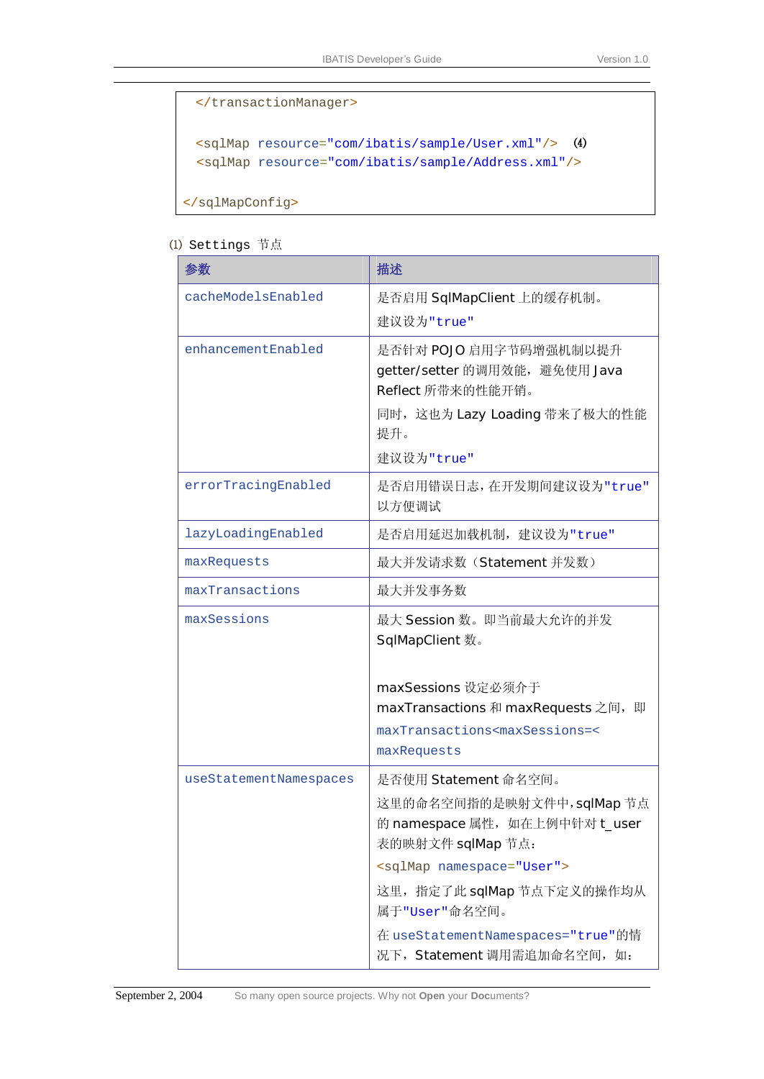```
 </transactionManager>
  <sqlMap resource="com/ibatis/sample/User.xml"/> ⑷
 <sqlMap resource="com/ibatis/sample/Address.xml"/> 
</sqlMapConfig>
```
⑴ Settings 节点

| 参数                     | 描述                                                                                |
|------------------------|-----------------------------------------------------------------------------------|
| cacheModelsEnabled     | 是否启用 SqlMapClient 上的缓存机制。<br>建议设为"true"                                           |
| enhancementEnabled     | 是否针对 POJO 启用字节码增强机制以提升<br>getter/setter 的调用效能,避免使用 Java<br>Reflect 所带来的性能开销。      |
|                        | 同时, 这也为 Lazy Loading 带来了极大的性能<br>提升。                                              |
|                        | 建议设为"true"                                                                        |
| errorTracingEnabled    | 是否启用错误日志,在开发期间建议设为"true"<br>以方便调试                                                 |
| lazyLoadingEnabled     | 是否启用延迟加载机制, 建议设为"true"                                                            |
| maxRequests            | 最大并发请求数(Statement 并发数)                                                            |
| maxTransactions        | 最大并发事务数                                                                           |
| maxSessions            | 最大 Session 数。即当前最大允许的并发<br><b>SqlMapClient</b> 数。                                 |
|                        | maxSessions 设定必须介于                                                                |
|                        | maxTransactions 和 maxRequests 之间, 即                                               |
|                        | maxTransactions <maxsessions=<<br>maxRequests</maxsessions=<<br>                  |
| useStatementNamespaces | 是否使用 Statement 命名空间。                                                              |
|                        | 这里的命名空间指的是映射文件中, sqlMap 节点<br>的 namespace 属性, 如在上例中针对 t_user<br>表的映射文件 sqlMap 节点: |
|                        | <sqlmap namespace="User"></sqlmap>                                                |
|                        | 这里, 指定了此 sqlMap 节点下定义的操作均从<br>属于"User"命名空间。                                       |
|                        | 在 useStatementNamespaces="true"的情<br>况下, Statement 调用需追加命名空间, 如:                  |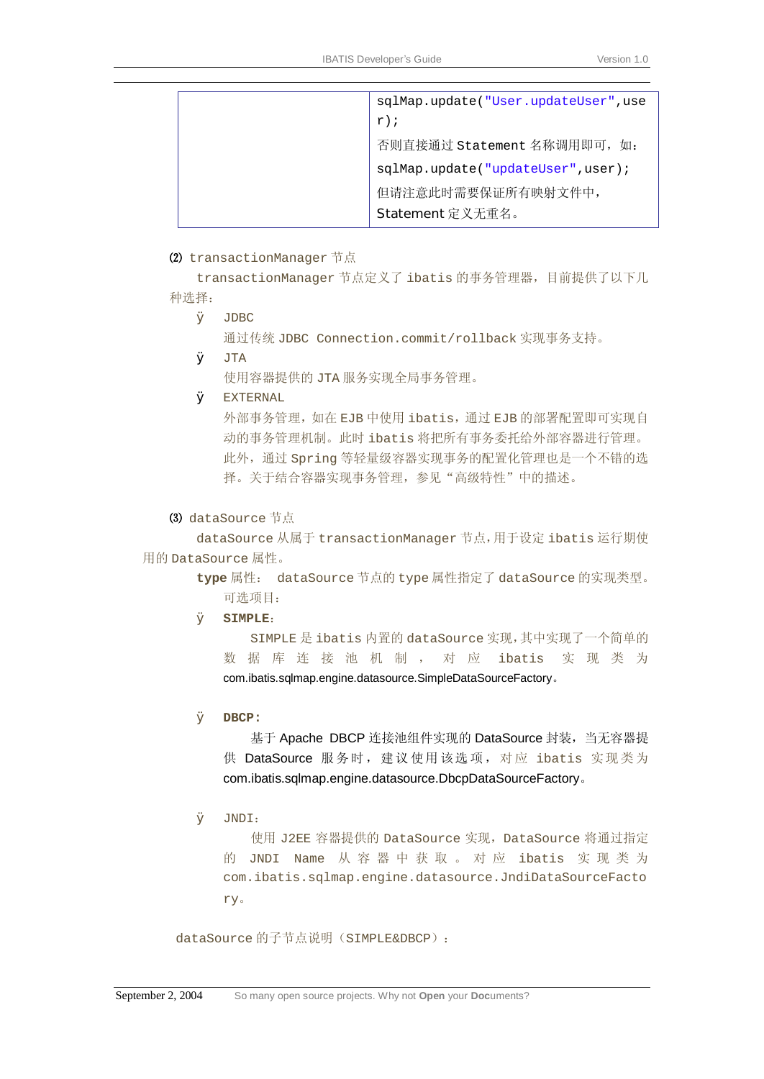#### ⑵ transactionManager 节点

transactionManager 节点定义了 ibatis 的事务管理器,目前提供了以下几 种选择:

Ø JDBC

```
通过传统 JDBC Connection.commit/rollback 实现事务支持。
```
 $\boldsymbol{\alpha}$  JTA

使用容器提供的 JTA 服务实现全局事务管理。

Ø EXTERNAL

外部事务管理,如在 EJB 中使用 ibatis,通过 EJB 的部署配置即可实现自 动的事务管理机制。此时 ibatis 将把所有事务委托给外部容器进行管理。 此外,通过 Spring 等轻量级容器实现事务的配置化管理也是一个不错的选 择。关于结合容器实现事务管理,参见"高级特性"中的描述。

#### ⑶ dataSource 节点

dataSource 从属于 transactionManager 节点,用于设定 ibatis 运行期使 用的 DataSource 属性。

> **type** 属性: dataSource 节点的 type 属性指定了 dataSource 的实现类型。 可选项目:

#### Ø **SIMPLE**:

SIMPLE 是 ibatis 内置的 dataSource 实现,其中实现了一个简单的 数 据 库 连 接 池 机 制 , 对 应 ibatis 实 现 类 为 com.ibatis.sqlmap.engine.datasource.SimpleDataSourceFactory。

#### Ø **DBCP:**

基于 Apache DBCP 连接池组件实现的 DataSource 封装, 当无容器提 供 DataSource 服务时, 建议使用该选项, 对应 ibatis 实现类为 com.ibatis.sqlmap.engine.datasource.DbcpDataSourceFactory。

Ø JNDI:

使用 J2EE 容器提供的 DataSource 实现, DataSource 将通过指定 的 JNDI Name 从 容 器 中 获 取 。 对 应 ibatis 实 现 类 为 com.ibatis.sqlmap.engine.datasource.JndiDataSourceFacto ry。

dataSource 的子节点说明(SIMPLE&DBCP):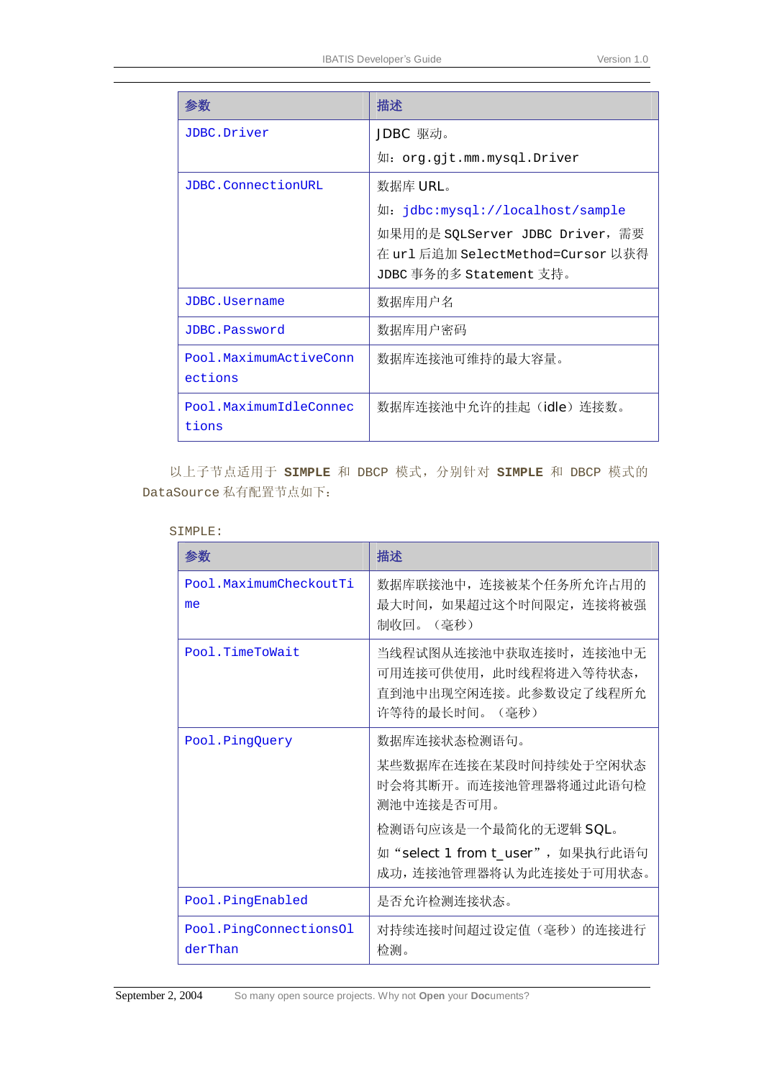| 参数                                | 描述                                                                  |
|-----------------------------------|---------------------------------------------------------------------|
| JDBC.Driver                       | JDBC 驱动。                                                            |
|                                   | 如: org.gjt.mm.mysql.Driver                                          |
| JDBC.ConnectionURL                | 数据库 URL。                                                            |
|                                   | 如: jdbc:mysql://localhost/sample                                    |
|                                   | 如果用的是 SQLServer JDBC Driver,需要<br>在 url 后追加 SelectMethod=Cursor 以获得 |
|                                   | JDBC 事务的多 Statement 支持。                                             |
| JDBC.Username                     | 数据库用户名                                                              |
| JDBC.Password                     | 数据库用户密码                                                             |
| Pool.MaximumActiveConn<br>ections | 数据库连接池可维持的最大容量。                                                     |
| Pool.MaximumIdleConnec<br>tions   | 数据库连接池中允许的挂起(idle)连接数。                                              |

以上子节点适用于 **SIMPLE** 和 DBCP 模式,分别针对 **SIMPLE** 和 DBCP 模式的 DataSource 私有配置节点如下:

| ٠<br>۰. |  |  |  |  |
|---------|--|--|--|--|

| 参数                                | 描述                                                                                         |
|-----------------------------------|--------------------------------------------------------------------------------------------|
| Pool.MaximumCheckoutTi<br>me      | 数据库联接池中, 连接被某个任务所允许占用的<br>最大时间, 如果超过这个时间限定, 连接将被强<br>制收回。(毫秒)                              |
| Pool.TimeToWait                   | 当线程试图从连接池中获取连接时, 连接池中无<br>可用连接可供使用, 此时线程将进入等待状态,<br>直到池中出现空闲连接。此参数设定了线程所允<br>许等待的最长时间。(毫秒) |
| Pool.PingQuery                    | 数据库连接状态检测语句。<br>某些数据库在连接在某段时间持续处于空闲状态<br>时会将其断开。而连接池管理器将通过此语句检<br>测池中连接是否可用。               |
|                                   | 检测语句应该是一个最简化的无逻辑 SQL。<br>如"select 1 from t_user", 如果执行此语句<br>成功, 连接池管理器将认为此连接处于可用状态。       |
| Pool.PingEnabled                  | 是否允许检测连接状态。                                                                                |
| Pool.PingConnectionsOl<br>derThan | 对持续连接时间超过设定值(毫秒)的连接进行<br>检测。                                                               |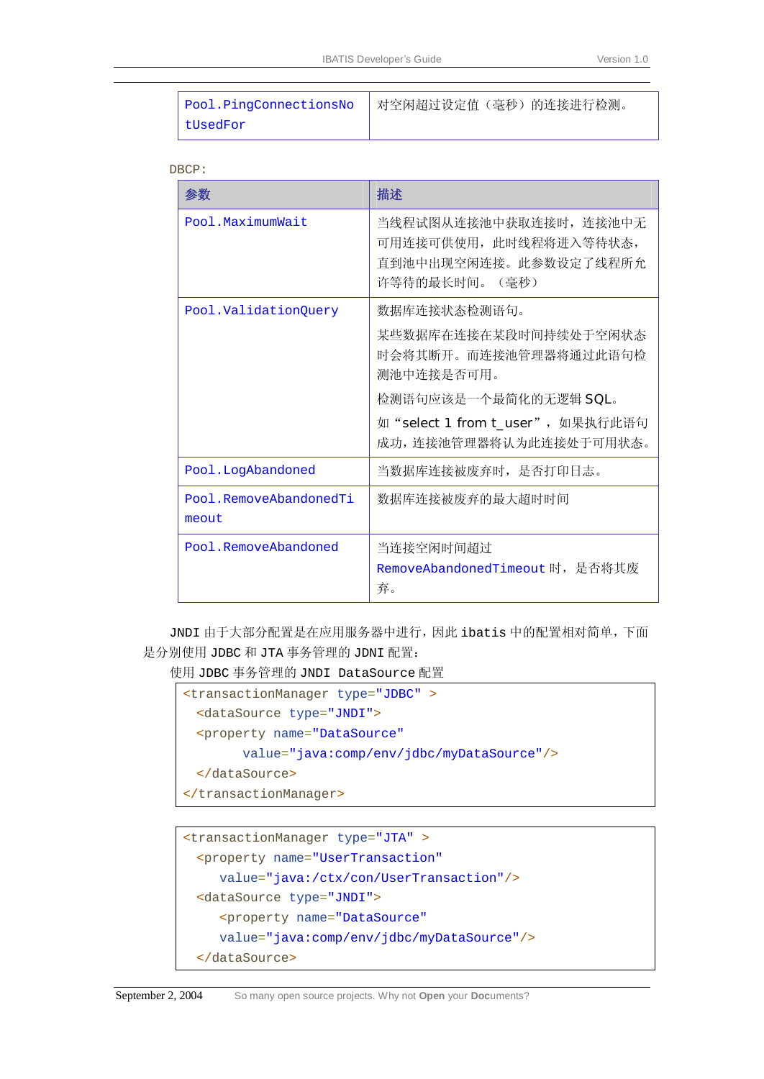| Pool.PingConnectionsNo | 对空闲超过设定值(毫秒)的连接进行检测。 |
|------------------------|----------------------|
| tUsedFor               |                      |

```
DBCP:
```

| 参数                              | 描述                                                                                                                                                                   |
|---------------------------------|----------------------------------------------------------------------------------------------------------------------------------------------------------------------|
| Pool.MaximumWait                | 当线程试图从连接池中获取连接时, 连接池中无<br>可用连接可供使用, 此时线程将进入等待状态,<br>直到池中出现空闲连接。此参数设定了线程所允<br>许等待的最长时间。(毫秒)                                                                           |
| Pool.ValidationQuery            | 数据库连接状态检测语句。<br>某些数据库在连接在某段时间持续处于空闲状态<br>时会将其断开。而连接池管理器将通过此语句检<br>测池中连接是否可用。<br>检测语句应该是一个最简化的无逻辑 SQL。<br>如"select 1 from t_user", 如果执行此语句<br>成功, 连接池管理器将认为此连接处于可用状态。 |
| Pool.LogAbandoned               | 当数据库连接被废弃时, 是否打印日志。                                                                                                                                                  |
| Pool.RemoveAbandonedTi<br>meout | 数据库连接被废弃的最大超时时间                                                                                                                                                      |
| Pool.RemoveAbandoned            | 当连接空闲时间超过<br>RemoveAbandonedTimeout 时,是否将其废<br>弃。                                                                                                                    |

JNDI 由于大部分配置是在应用服务器中进行,因此 ibatis 中的配置相对简单,下面 是分别使用 JDBC 和 JTA 事务管理的 JDNI 配置:

使用 JDBC 事务管理的 JNDI DataSource 配置

```
<transactionManager type="JDBC" >
 <dataSource type="JNDI">
 <property name="DataSource" 
       value="java:comp/env/jdbc/myDataSource"/>
 </dataSource>
</transactionManager>
```

```
<transactionManager type="JTA" >
 <property name="UserTransaction" 
    value="java:/ctx/con/UserTransaction"/>
 <dataSource type="JNDI">
    <property name="DataSource" 
    value="java:comp/env/jdbc/myDataSource"/>
 </dataSource>
```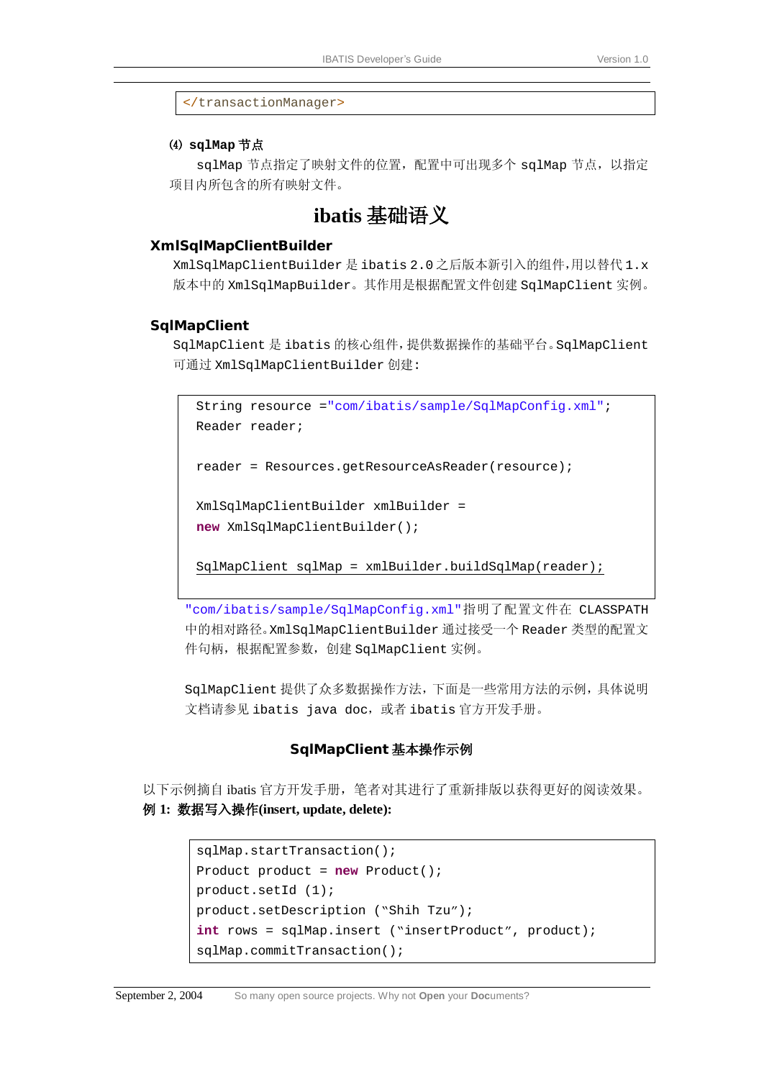</transactionManager>

#### ⑷ **sqlMap** 节点

sqlMap 节点指定了映射文件的位置, 配置中可出现多个 sqlMap 节点, 以指定 项目内所包含的所有映射文件。

## **ibatis** 基础语义

#### **XmlSqlMapClientBuilder**

XmlSqlMapClientBuilder 是 ibatis 2.0 之后版本新引入的组件,用以替代 1.x 版本中的 XmlSqlMapBuilder。其作用是根据配置文件创建 SqlMapClient 实例。

#### **SqlMapClient**

SqlMapClient 是 ibatis 的核心组件,提供数据操作的基础平台。SqlMapClient 可通过 XmlSqlMapClientBuilder 创建:

```
String resource ="com/ibatis/sample/SqlMapConfig.xml"; 
Reader reader; 
reader = Resources.getResourceAsReader(resource); 
XmlSqlMapClientBuilder xmlBuilder = 
new XmlSqlMapClientBuilder();
```
SqlMapClient sqlMap = xmlBuilder.buildSqlMap(reader);

"com/ibatis/sample/SqlMapConfig.xml"指明了配置文件在 CLASSPATH 中的相对路径。XmlSqlMapClientBuilder 通过接受一个 Reader 类型的配置文 件句柄,根据配置参数,创建 SqlMapClient 实例。

SqlMapClient 提供了众多数据操作方法,下面是一些常用方法的示例,具体说明 文档请参见 ibatis java doc, 或者 ibatis 官方开发手册。

#### **SqlMapClient** 基本操作示例

以下示例摘自 ibatis 官方开发手册,笔者对其进行了重新排版以获得更好的阅读效果。 例 **1:** 数据写入操作**(insert, update, delete):** 

```
sqlMap.startTransaction(); 
Product product = new Product(); 
product.setId (1); 
product.setDescription ("Shih Tzu"); 
int rows = sqlMap.insert ("insertProduct", product); 
sqlMap.commitTransaction();
```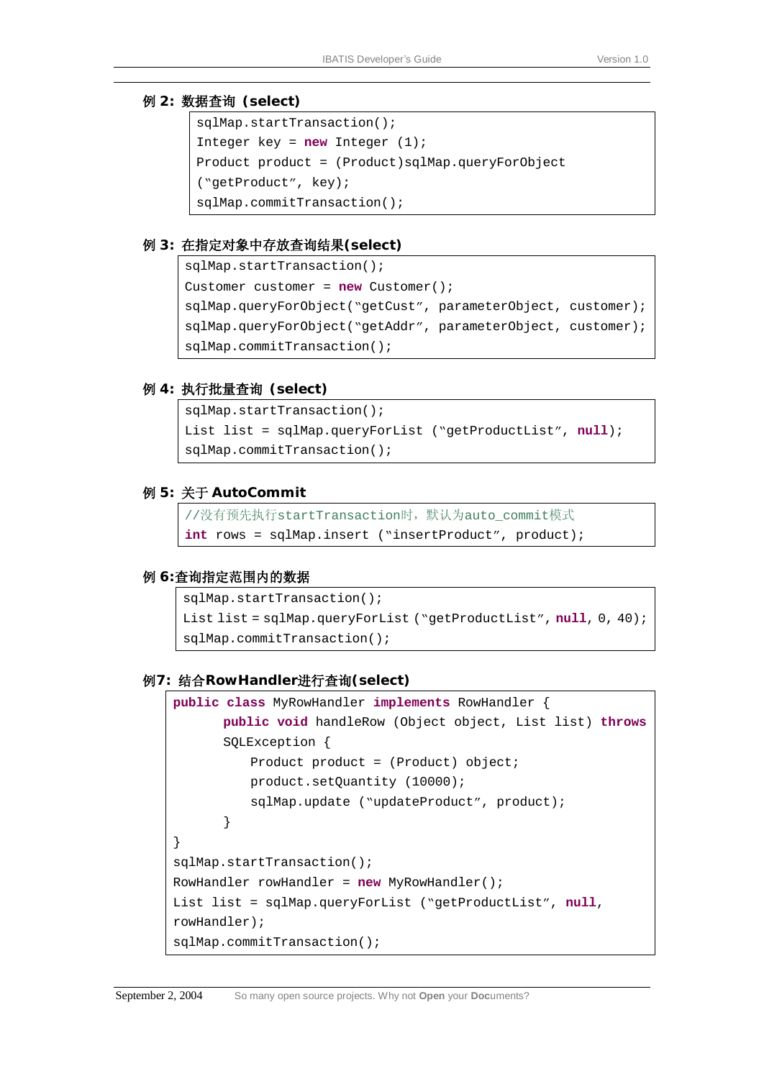#### 例 **2:** 数据查询 **(select)**

```
sqlMap.startTransaction(); 
Integer key = new Integer (1); 
Product product = (Product)sqlMap.queryForObject 
("getProduct", key); 
sqlMap.commitTransaction();
```
#### 例 **3:** 在指定对象中存放查询结果**(select)**

```
sqlMap.startTransaction(); 
Customer customer = new Customer(); 
sqlMap.queryForObject("getCust", parameterObject, customer); 
sqlMap.queryForObject("getAddr", parameterObject, customer); 
sqlMap.commitTransaction();
```
#### 例 **4:** 执行批量查询 **(select)**

```
sqlMap.startTransaction(); 
List list = sqlMap.queryForList ("getProductList", null); 
sqlMap.commitTransaction();
```
#### 例 **5:** 关于 **AutoCommit**

```
//没有预先执行startTransaction时,默认为auto_commit模式
int rows = sqlMap.insert ("insertProduct", product);
```
#### 例 **6:**查询指定范围内的数据

```
sqlMap.startTransaction(); 
List list = sqlMap.queryForList ("getProductList", null, 0, 40); 
sqlMap.commitTransaction();
```
#### 例**7:** 结合**RowHandler**进行查询**(select)**

```
public class MyRowHandler implements RowHandler { 
       public void handleRow (Object object, List list) throws
      SQLException { 
          Product product = (Product) object; 
          product.setQuantity (10000); 
          sqlMap.update ("updateProduct", product); 
       } 
} 
sqlMap.startTransaction(); 
RowHandler rowHandler = new MyRowHandler(); 
List list = sqlMap.queryForList ("getProductList", null, 
rowHandler); 
sqlMap.commitTransaction();
```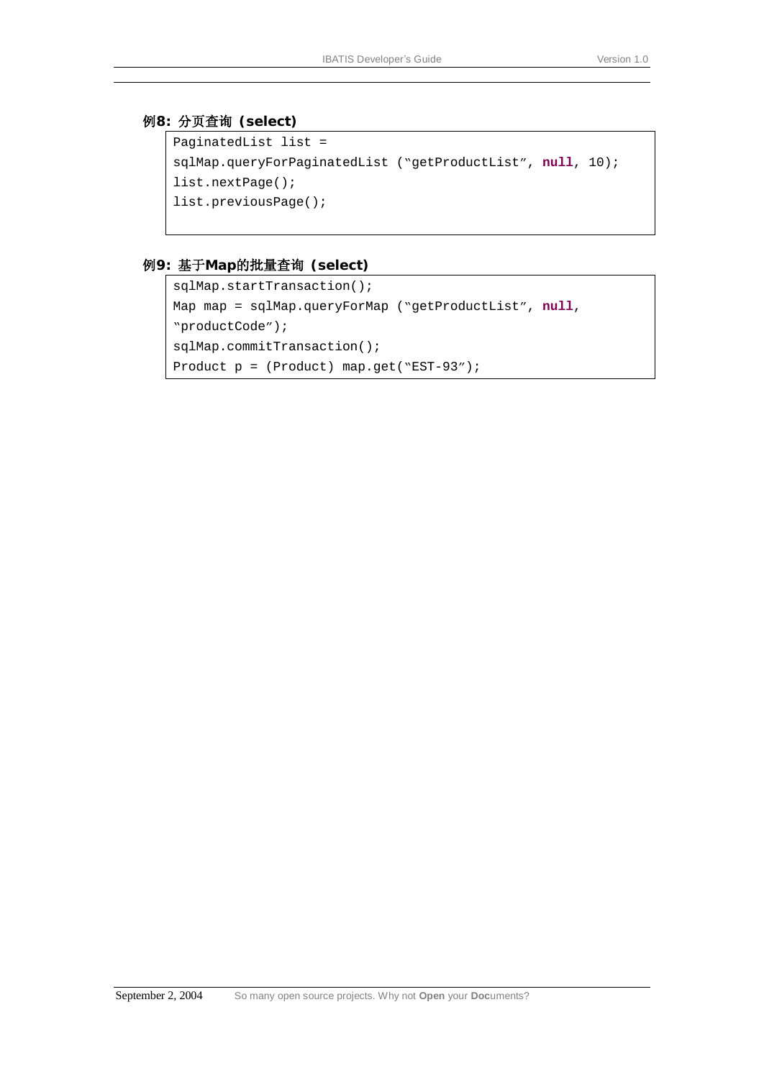#### 例**8:** 分页查询 **(select)**

```
PaginatedList list = 
sqlMap.queryForPaginatedList ("getProductList", null, 10); 
list.nextPage(); 
list.previousPage();
```
#### 例**9:** 基于**Map**的批量查询 **(select)**

```
sqlMap.startTransaction(); 
Map map = sqlMap.queryForMap ("getProductList", null, 
"productCode"); 
sqlMap.commitTransaction(); 
Product p = (Product) map.get("EST-93");
```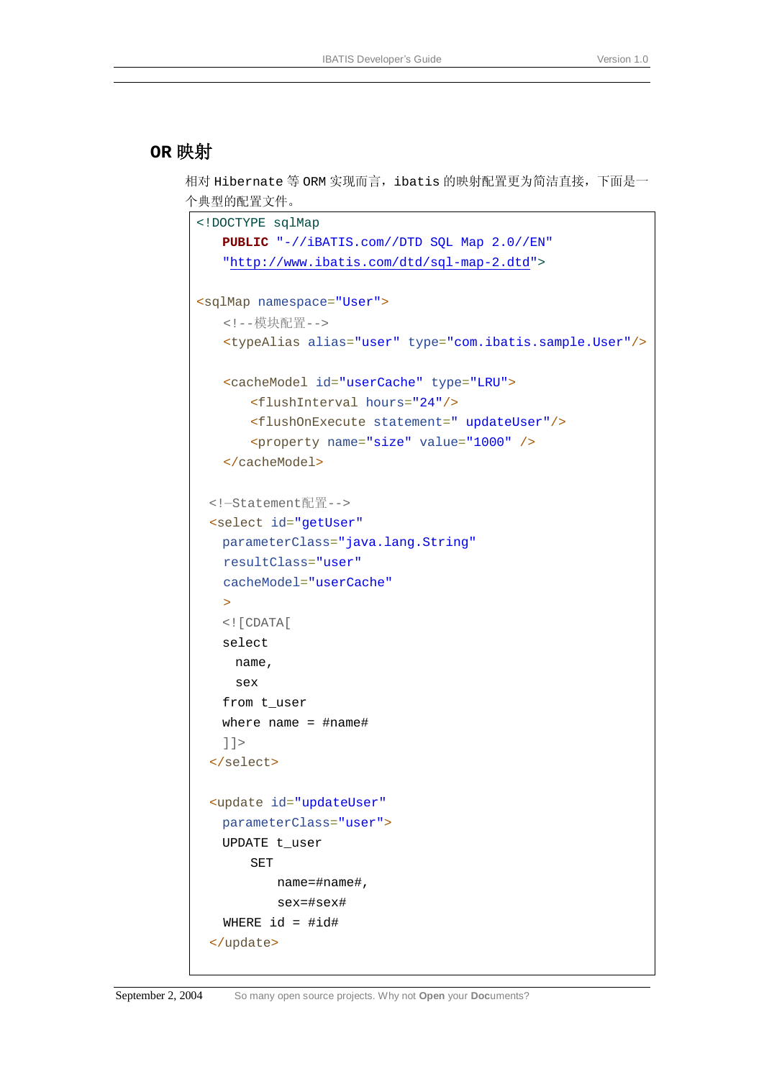## **OR** 映射

相对 Hibernate 等 ORM 实现而言, ibatis 的映射配置更为简洁直接, 下面是一 个典型的配置文件。

```
<!DOCTYPE sqlMap
    PUBLIC "-//iBATIS.com//DTD SQL Map 2.0//EN"
    "http://www.ibatis.com/dtd/sql-map-2.dtd">
<sqlMap namespace="User">
   <!--模块配置-->
   <typeAlias alias="user" type="com.ibatis.sample.User"/>
   <cacheModel id="userCache" type="LRU">
        <flushInterval hours="24"/> 
        <flushOnExecute statement=" updateUser"/>
        <property name="size" value="1000" />
   </cacheModel>
 <!—Statement配置-->
  <select id="getUser"
    parameterClass="java.lang.String"
   resultClass="user" 
   cacheModel="userCache"
   \rightarrow <![CDATA[
    select 
      name, 
      sex 
    from t_user 
    where name = #name# 
    ]]>
  </select> 
  <update id="updateUser"
    parameterClass="user">
    UPDATE t_user 
       SET 
           name=#name#, 
           sex=#sex# 
   WHERE id = #id# </update>
```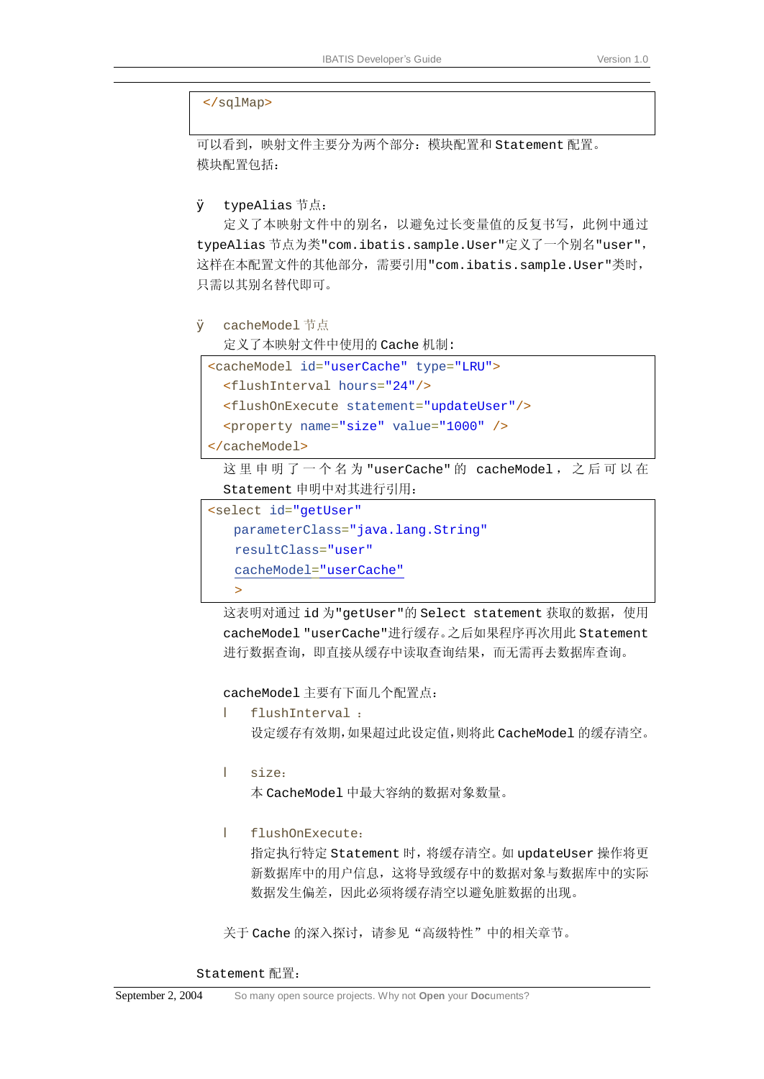#### </sqlMap>

可以看到,映射文件主要分为两个部分:模块配置和 Statement 配置。 模块配置包括:

```
\emptyset typeAlias 节点:
```
定义了本映射文件中的别名,以避免过长变量值的反复书写,此例中通过 typeAlias 节点为类"com.ibatis.sample.User"定义了一个别名"user", 这样在本配置文件的其他部分,需要引用"com.ibatis.sample.User"类时, 只需以其别名替代即可。

Ø cacheModel 节点

定义了本映射文件中使用的 Cache 机制:

```
<cacheModel id="userCache" type="LRU">
 <flushInterval hours="24"/> 
  <flushOnExecute statement="updateUser"/>
 <property name="size" value="1000" />
```
</cacheModel>

这 里 申 明 了 一 个 名 为 "userCache" 的 cacheModel , 之 后 可 以 在 Statement 申明中对其进行引用:

```
<select id="getUser"
    parameterClass="java.lang.String"
   resultClass="user" 
   cacheModel="userCache"
   >
```
这表明对通过 id 为"getUser"的 Select statement 获取的数据,使用 cacheModel "userCache"进行缓存。之后如果程序再次用此 Statement 进行数据查询,即直接从缓存中读取查询结果,而无需再去数据库查询。

cacheModel 主要有下面几个配置点:

- l flushInterval : 设定缓存有效期,如果超过此设定值,则将此 CacheModel 的缓存清空。
- l size: 本 CacheModel 中最大容纳的数据对象数量。
- l flushOnExecute:

指定执行特定 Statement 时,将缓存清空。如 updateUser 操作将更 新数据库中的用户信息,这将导致缓存中的数据对象与数据库中的实际 数据发生偏差,因此必须将缓存清空以避免脏数据的出现。

关于 Cache 的深入探讨,请参见"高级特性"中的相关章节。

Statement 配置: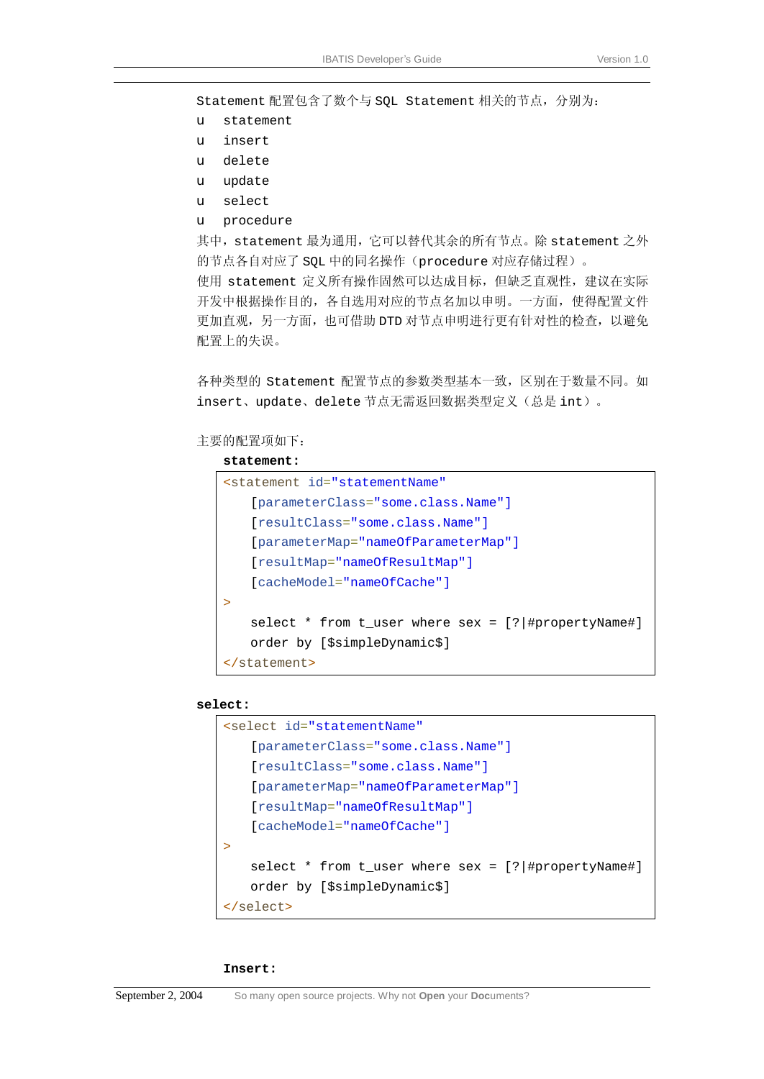Statement 配置包含了数个与 SQL Statement 相关的节点,分别为:

- u statement
- u insert
- u delete
- u update
- u select
- u procedure

其中, statement 最为通用, 它可以替代其余的所有节点。除 statement 之外 的节点各自对应了 SQL 中的同名操作(procedure 对应存储过程)。 使用 statement 定义所有操作固然可以达成目标,但缺乏直观性,建议在实际 开发中根据操作目的,各自选用对应的节点名加以申明。一方面,使得配置文件 更加直观,另一方面,也可借助 DTD 对节点申明进行更有针对性的检查,以避免 配置上的失误。

各种类型的 Statement 配置节点的参数类型基本一致,区别在于数量不同。如 insert、update、delete 节点无需返回数据类型定义(总是 int)。

主要的配置项如下:

#### **statement:**

```
<statement id="statementName"
    [parameterClass="some.class.Name"]
    [resultClass="some.class.Name"]
    [parameterMap="nameOfParameterMap"]
    [resultMap="nameOfResultMap"]
    [cacheModel="nameOfCache"]
>
   select * from t_user where sex = [?|#propertyName#] 
   order by [$simpleDynamic$] 
</statement>
```
#### **select:**

```
<select id="statementName"
    [parameterClass="some.class.Name"]
    [resultClass="some.class.Name"]
    [parameterMap="nameOfParameterMap"]
    [resultMap="nameOfResultMap"]
    [cacheModel="nameOfCache"]
>
   select * from t_user where sex = [?|#propertyName#] 
   order by [$simpleDynamic$] 
</select>
```
#### **Insert:**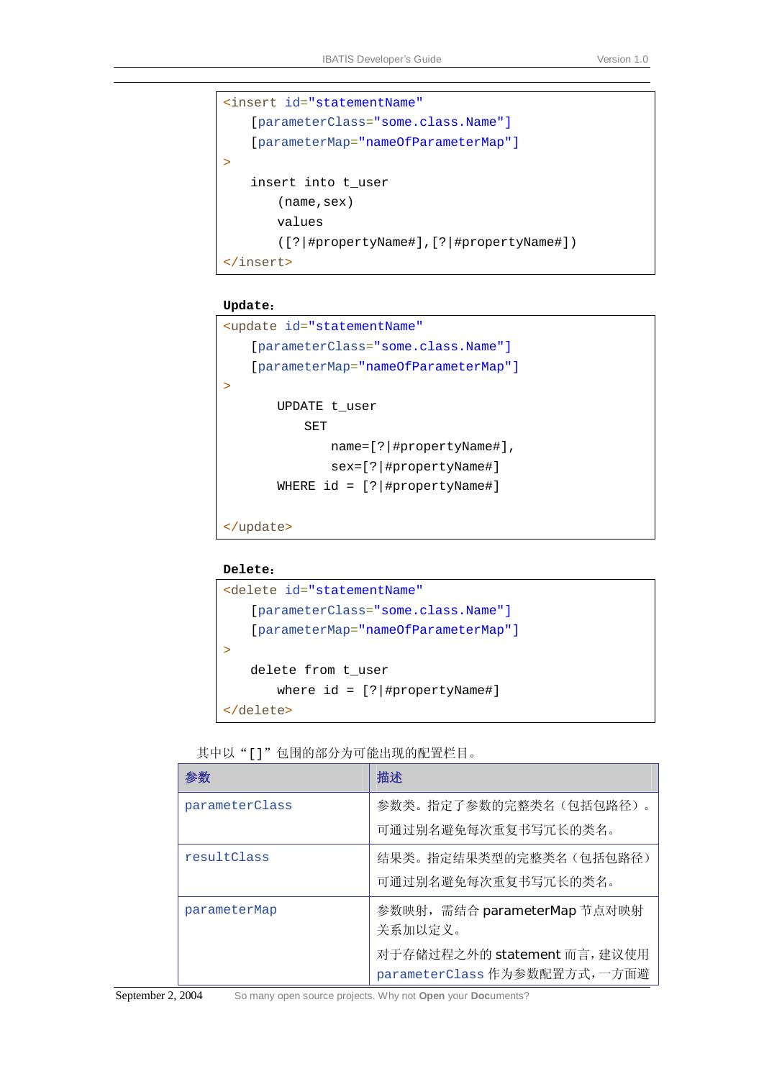```
<insert id="statementName"
     [parameterClass="some.class.Name"]
     [parameterMap="nameOfParameterMap"]
\mathbf{r}insert into t_user 
       (name,sex) 
       values 
       ([?|#propertyName#],[?|#propertyName#]) 
</insert>
```
#### **Update**:

```
<update id="statementName"
     [parameterClass="some.class.Name"]
     [parameterMap="nameOfParameterMap"]
>
       UPDATE t_user 
           SET 
              name=[?|#propertyName#], 
               sex=[?|#propertyName#] 
       WHERE id = [? | #propertyName#]
</update>
```
#### **Delete**:

```
<delete id="statementName"
     [parameterClass="some.class.Name"]
    [parameterMap="nameOfParameterMap"]
>
   delete from t_user 
       where id = [\frac{?}{# propertyName#]}</delete>
```

|  | 其中以"[]"包围的部分为可能出现的配置栏目。 |  |
|--|-------------------------|--|
|  |                         |  |

| 参数             | 描述                                                          |
|----------------|-------------------------------------------------------------|
| parameterClass | 参数类。指定了参数的完整类名(包括包路径)。                                      |
|                | 可通过别名避免每次重复书写冗长的类名。                                         |
| resultClass    | 结果类。指定结果类型的完整类名(包括包路径)                                      |
|                | 可通过别名避免每次重复书写冗长的类名。                                         |
| parameterMap   | 参数映射, 需结合 parameterMap 节点对映射<br>关系加以定义。                     |
|                | 对于存储过程之外的 statement 而言, 建议使用<br>parameterClass作为参数配置方式,一方面避 |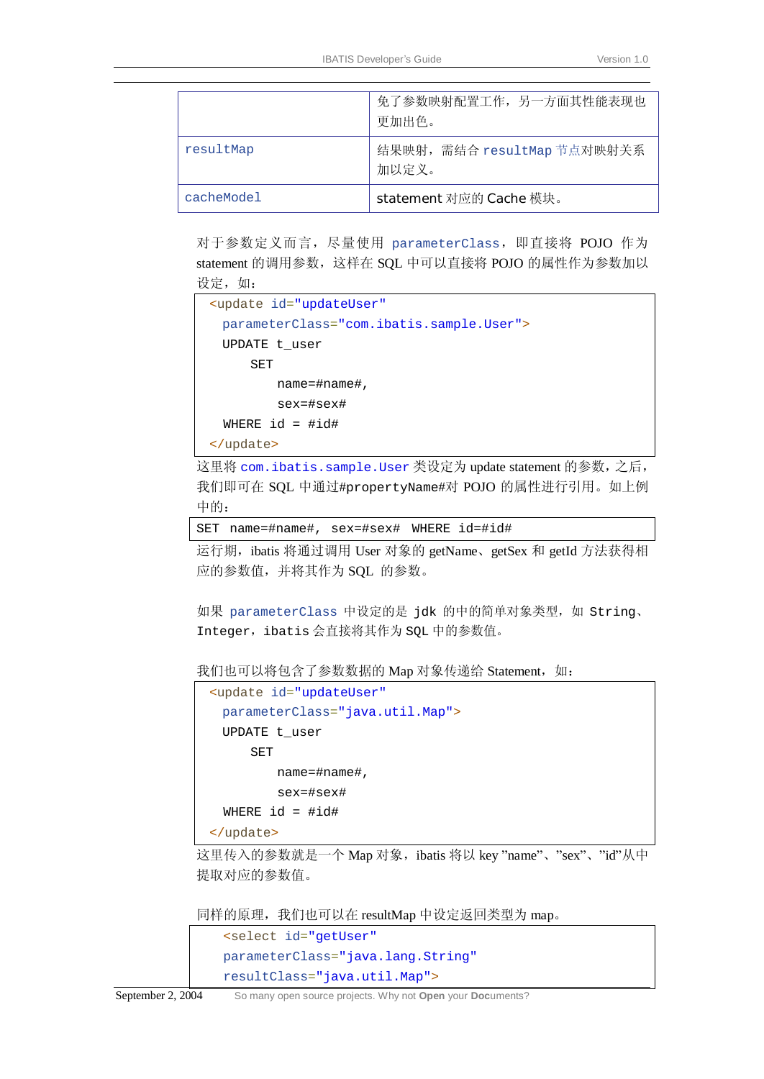|            | 免了参数映射配置工作,另一方面其性能表现也<br>更加出色。       |  |
|------------|--------------------------------------|--|
| resultMap  | 结果映射, 需结合 resultMap 节点对映射关系<br>加以定义。 |  |
| cacheModel | statement 对应的 Cache 模块。              |  |

对于参数定义而言,尽量使用 parameterClass,即直接将 POJO 作为 statement 的调用参数,这样在 SQL 中可以直接将 POJO 的属性作为参数加以 设定,如:

```
 <update id="updateUser"
  parameterClass="com.ibatis.sample.User">
  UPDATE t_user 
     SET 
         name=#name#, 
         sex=#sex# 
  WHERE id = #id# </update>
```
这里将 com.ibatis.sample.User 类设定为 update statement 的参数,之后, 我们即可在 SQL 中通过#propertyName#对 POJO 的属性进行引用。如上例 中的:

SET name=#name#, sex=#sex# WHERE id=#id#

运行期, ibatis 将通过调用 User 对象的 getName、getSex 和 getId 方法获得相 应的参数值,并将其作为 SQL 的参数。

如果 parameterClass 中设定的是 jdk 的中的简单对象类型, 如 String、 Integer, ibatis 会直接将其作为 SQL 中的参数值。

我们也可以将包含了参数数据的 Map 对象传递给 Statement, 如:

```
 <update id="updateUser"
  parameterClass="java.util.Map">
  UPDATE t_user 
     SET 
         name=#name#, 
         sex=#sex# 
 WHERE id = #id# </update>
```
这里传入的参数就是一个 Map 对象, ibatis 将以 key "name"、"sex"、"id"从中 提取对应的参数值。

同样的原理,我们也可以在 resultMap 中设定返回类型为 map。

```
<select id="getUser"
 parameterClass="java.lang.String"
 resultClass="java.util.Map">
```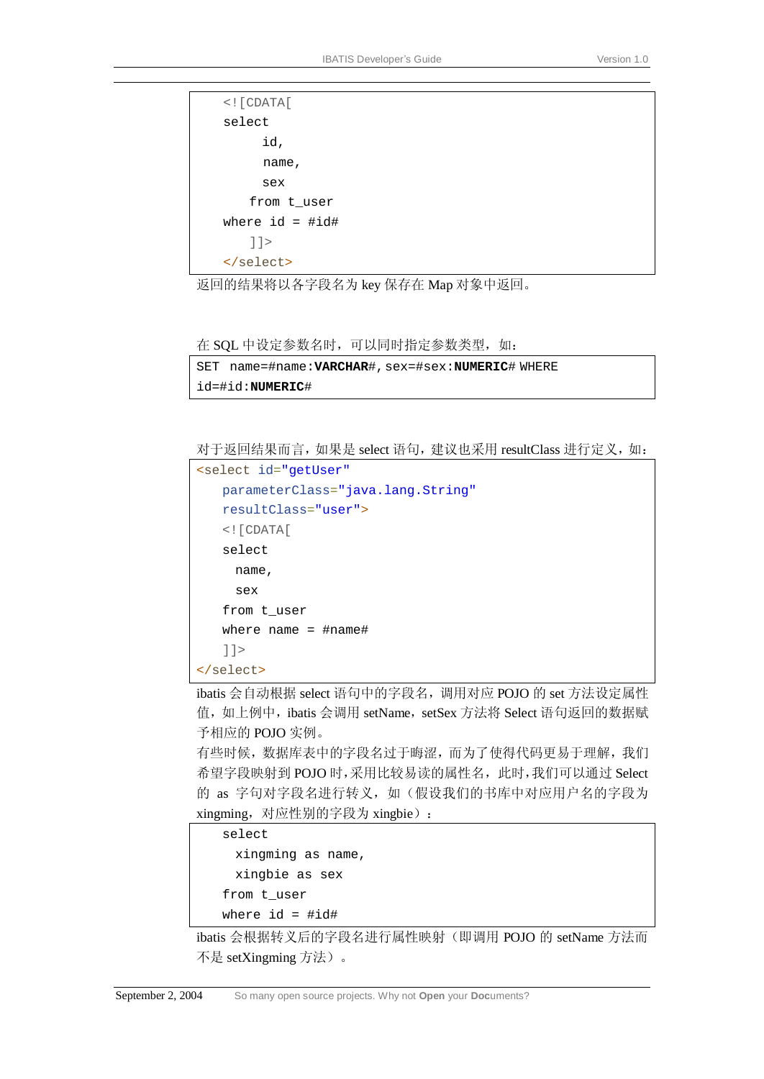```
 <![CDATA[
 select 
       id, 
       name, 
       sex 
     from t_user 
where id = #id#]] >
</select>
```
返回的结果将以各字段名为 key 保存在 Map 对象中返回。

在 SQL 中设定参数名时, 可以同时指定参数类型, 如:

```
SET name=#name:VARCHAR#,sex=#sex:NUMERIC# WHERE 
id=#id:NUMERIC#
```
对于返回结果而言,如果是 select 语句,建议也采用 resultClass 进行定义,如:

```
<select id="getUser"
    parameterClass="java.lang.String"
    resultClass="user">
    <![CDATA[
    select 
      name, 
      sex 
    from t_user 
    where name = #name# 
    ]]>
</select>
```
ibatis 会自动根据 select 语句中的字段名,调用对应 POJO 的 set 方法设定属性 值,如上例中, ibatis 会调用 setName, setSex 方法将 Select 语句返回的数据赋 予相应的 POJO 实例。

有些时候,数据库表中的字段名过于晦涩,而为了使得代码更易于理解,我们 希望字段映射到 POJO 时,采用比较易读的属性名,此时,我们可以通过 Select 的 as 字句对字段名进行转义, 如(假设我们的书库中对应用户名的字段为 xingming,对应性别的字段为 xingbie):

 select xingming as name, xingbie as sex from t\_user

```
where id = #id#
```
ibatis 会根据转义后的字段名进行属性映射(即调用 POJO 的 setName 方法而 不是 setXingming 方法)。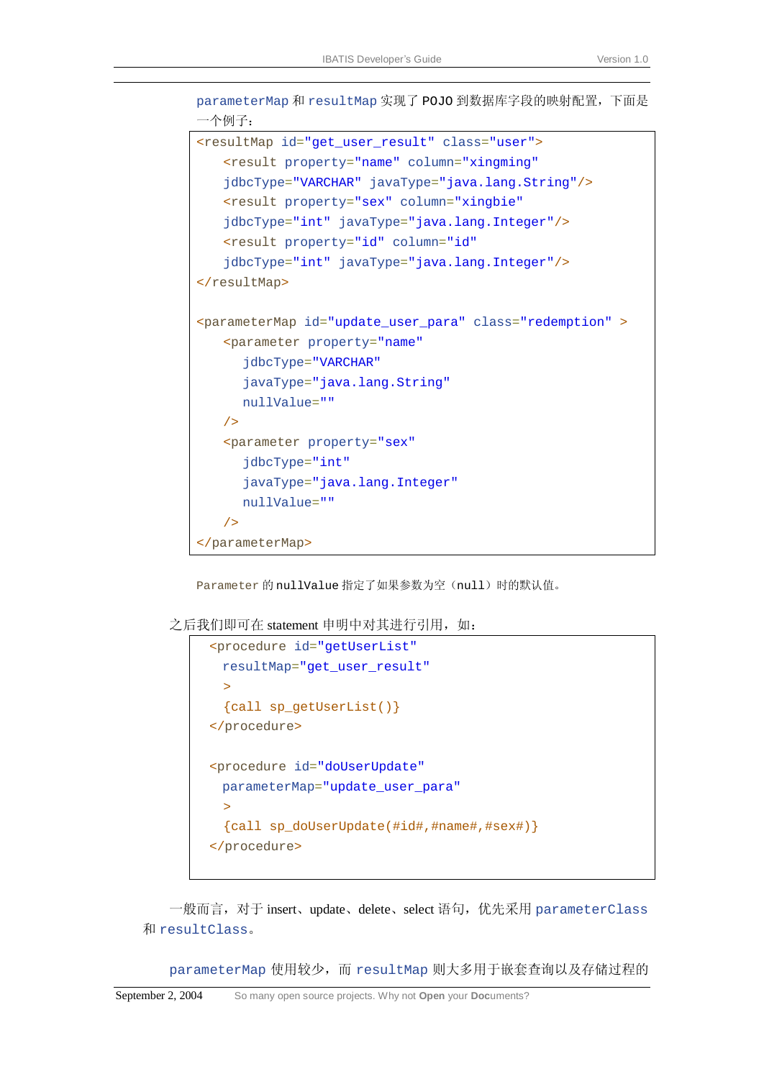```
一个例子:
<resultMap id="get_user_result" class="user">
   <result property="name" column="xingming" 
   jdbcType="VARCHAR" javaType="java.lang.String"/>
   <result property="sex" column="xingbie" 
   jdbcType="int" javaType="java.lang.Integer"/>
   <result property="id" column="id" 
   jdbcType="int" javaType="java.lang.Integer"/>
</resultMap>
<parameterMap id="update_user_para" class="redemption" >
   <parameter property="name" 
      jdbcType="VARCHAR" 
      javaType="java.lang.String" 
      nullValue="" 
   /> 
   <parameter property="sex" 
      jdbcType="int" 
      javaType="java.lang.Integer" 
      nullValue="" 
   /> 
</parameterMap>
```
Parameter 的 nullValue 指定了如果参数为空(null)时的默认值。

#### 之后我们即可在 statement 申明中对其进行引用, 如:

```
 <procedure id="getUserList"
  resultMap="get_user_result"
  > 
  {call sp_getUserList()} 
 </procedure> 
 <procedure id="doUserUpdate"
  parameterMap="update_user_para"
  >{call sp_doUserUpdate(#id#,#name#,#sex#)} 
 </procedure>
```
一般而言,对于 insert、update、delete、select 语句,优先采用 parameterClass 和 resultClass。

parameterMap 使用较少, 而 resultMap 则大多用于嵌套查询以及存储过程的

parameterMap 和 resultMap 实现了 POJO 到数据库字段的映射配置,下面是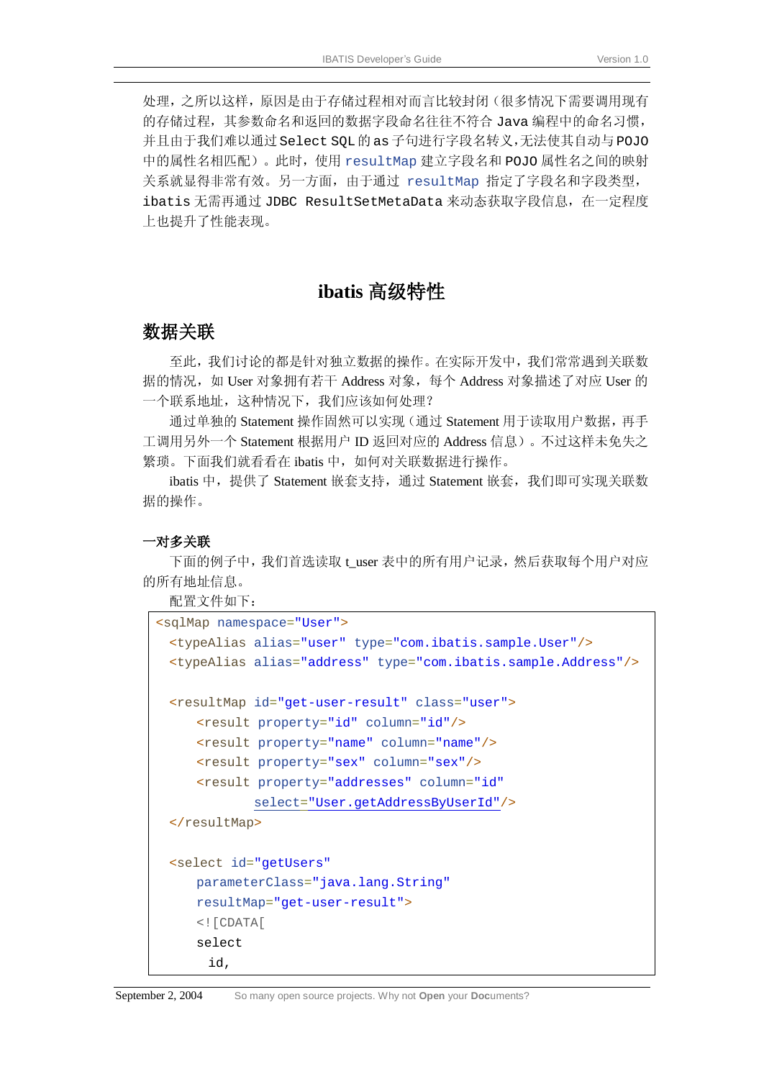处理,之所以这样,原因是由于存储过程相对而言比较封闭(很多情况下需要调用现有 的存储过程,其参数命名和返回的数据字段命名往往不符合 Java 编程中的命名习惯, 并且由于我们难以通过 Select SOL的 as 子句进行字段名转义,无法使其自动与 POJO 中的属性名相匹配)。此时,使用 resultMap 建立字段名和 POJO 属性名之间的映射 关系就显得非常有效。另一方面,由于通过 resultMap 指定了字段名和字段类型, ibatis 无需再通过 JDBC ResultSetMetaData 来动态获取字段信息, 在一定程度 上也提升了性能表现。

## **ibatis** 高级特性

#### 数据关联

至此,我们讨论的都是针对独立数据的操作。在实际开发中,我们常常遇到关联数 据的情况,如 User 对象拥有若干 Address 对象,每个 Address 对象描述了对应 User 的 一个联系地址,这种情况下,我们应该如何处理?

通过单独的 Statement 操作固然可以实现(通过 Statement 用于读取用户数据,再手 工调用另外一个 Statement 根据用户 ID 返回对应的 Address 信息)。不过这样未免失之 繁琐。下面我们就看看在 ibatis 中, 如何对关联数据进行操作。

ibatis 中, 提供了 Statement 嵌套支持, 通过 Statement 嵌套, 我们即可实现关联数 据的操作。

#### 一对多关联

下面的例子中,我们首选读取 t\_user 表中的所有用户记录,然后获取每个用户对应 的所有地址信息。

配置文件如下:

```
<sqlMap namespace="User">
 <typeAlias alias="user" type="com.ibatis.sample.User"/> 
 <typeAlias alias="address" type="com.ibatis.sample.Address"/>
 <resultMap id="get-user-result" class="user">
      <result property="id" column="id"/>
      <result property="name" column="name"/>
      <result property="sex" column="sex"/>
      <result property="addresses" column="id" 
             select="User.getAddressByUserId"/>
 </resultMap>
 <select id="getUsers"
      parameterClass="java.lang.String"
      resultMap="get-user-result">
      <![CDATA[
      select 
        id,
```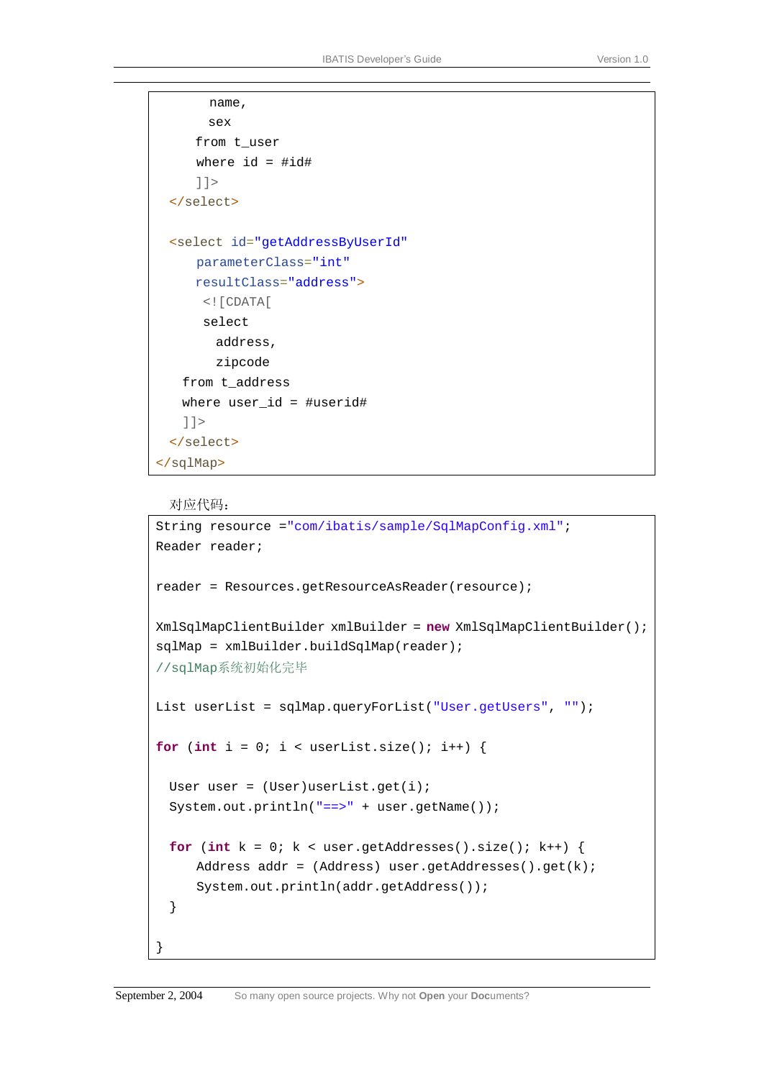```
 name, 
        sex 
      from t_user 
     where id = #id# ]]>
 </select>
 <select id="getAddressByUserId"
      parameterClass="int"
      resultClass="address">
      \leq [[CDATA]
       select 
         address, 
         zipcode 
    from t_address 
    where user_id = #userid# 
    ]]>
  </select>
</sqlMap>
```
#### 对应代码:

}

```
String resource ="com/ibatis/sample/SqlMapConfig.xml"; 
Reader reader; 
reader = Resources.getResourceAsReader(resource); 
XmlSqlMapClientBuilder xmlBuilder = new XmlSqlMapClientBuilder(); 
sqlMap = xmlBuilder.buildSqlMap(reader); 
//sqlMap系统初始化完毕
List userList = sqlMap.queryForList("User.getUsers", ""); 
for (int i = 0; i < userList.size(); i++) {
 User user = (User)userList.get(i);System.out.println("==>" + user.getName()); 
 for (int k = 0; k < user.getAddresses().size(); k++) {
     Address addr = (Address) user.getAddresses().get(k); 
     System.out.println(addr.getAddress()); 
  }
```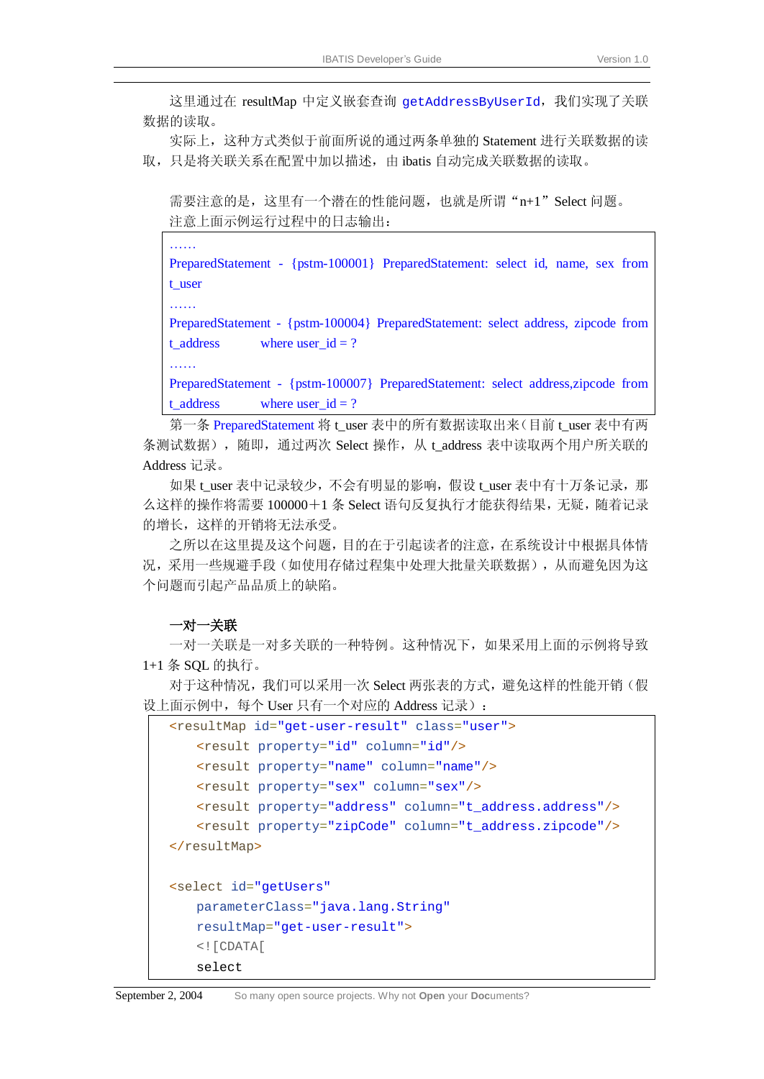这里通过在 resultMap 中定义嵌套查询 getAddressByUserId, 我们实现了关联 数据的读取。

实际上,这种方式类似于前面所说的通过两条单独的 Statement 进行关联数据的读 取,只是将关联关系在配置中加以描述,由 ibatis 自动完成关联数据的读取。

需要注意的是,这里有一个潜在的性能问题,也就是所谓"n+1"Select 问题。 注意上面示例运行过程中的日志输出:

…<br>……

PreparedStatement - {pstm-100001} PreparedStatement: select id, name, sex from t\_user

……

……

PreparedStatement - {pstm-100004} PreparedStatement: select address, zipcode from  $t\_address$  where user $_id = ?$ 

PreparedStatement - {pstm-100007} PreparedStatement: select address,zipcode from  $t\_address$  where user $_id = ?$ 

第一条 PreparedStatement 将 t\_user 表中的所有数据读取出来(目前 t\_user 表中有两 条测试数据),随即,通过两次 Select 操作,从 t\_address 表中读取两个用户所关联的 Address 记录。

如果 t\_user 表中记录较少,不会有明显的影响,假设 t\_user 表中有十万条记录, 那 么这样的操作将需要 100000+1 条 Select 语句反复执行才能获得结果,无疑,随着记录 的增长,这样的开销将无法承受。

之所以在这里提及这个问题,目的在于引起读者的注意,在系统设计中根据具体情 况,采用一些规避手段(如使用存储过程集中处理大批量关联数据),从而避免因为这 个问题而引起产品品质上的缺陷。

#### 一对一关联

一对一关联是一对多关联的一种特例。这种情况下,如果采用上面的示例将导致 1+1 条 SQL 的执行。

对于这种情况,我们可以采用一次 Select 两张表的方式,避免这样的性能开销(假 设上面示例中, 每个 User 只有一个对应的 Address 记录):

```
<resultMap id="get-user-result" class="user">
    <result property="id" column="id"/>
    <result property="name" column="name"/>
    <result property="sex" column="sex"/>
    <result property="address" column="t_address.address"/>
    <result property="zipCode" column="t_address.zipcode"/>
</resultMap>
<select id="getUsers"
    parameterClass="java.lang.String"
    resultMap="get-user-result">
    <![CDATA[
    select
```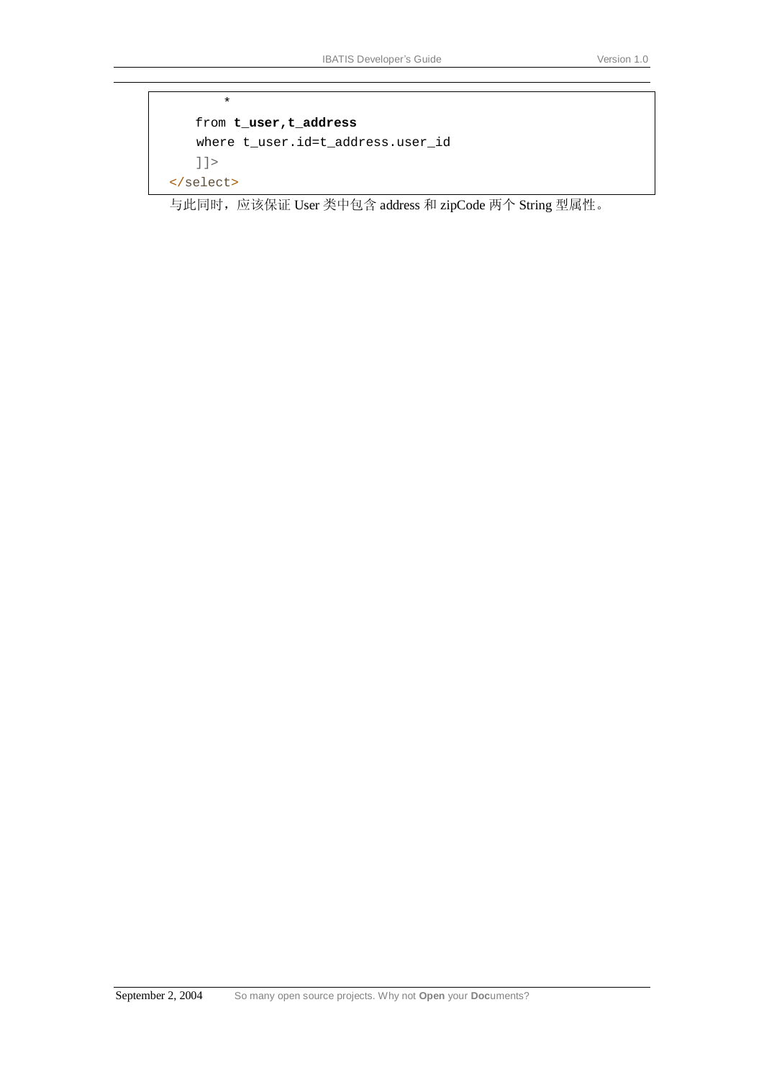```
* 
    from t_user,t_address
   where t_user.id=t_address.user_id 
    ]]>
</select>
```
与此同时,应该保证 User 类中包含 address 和 zipCode 两个 String 型属性。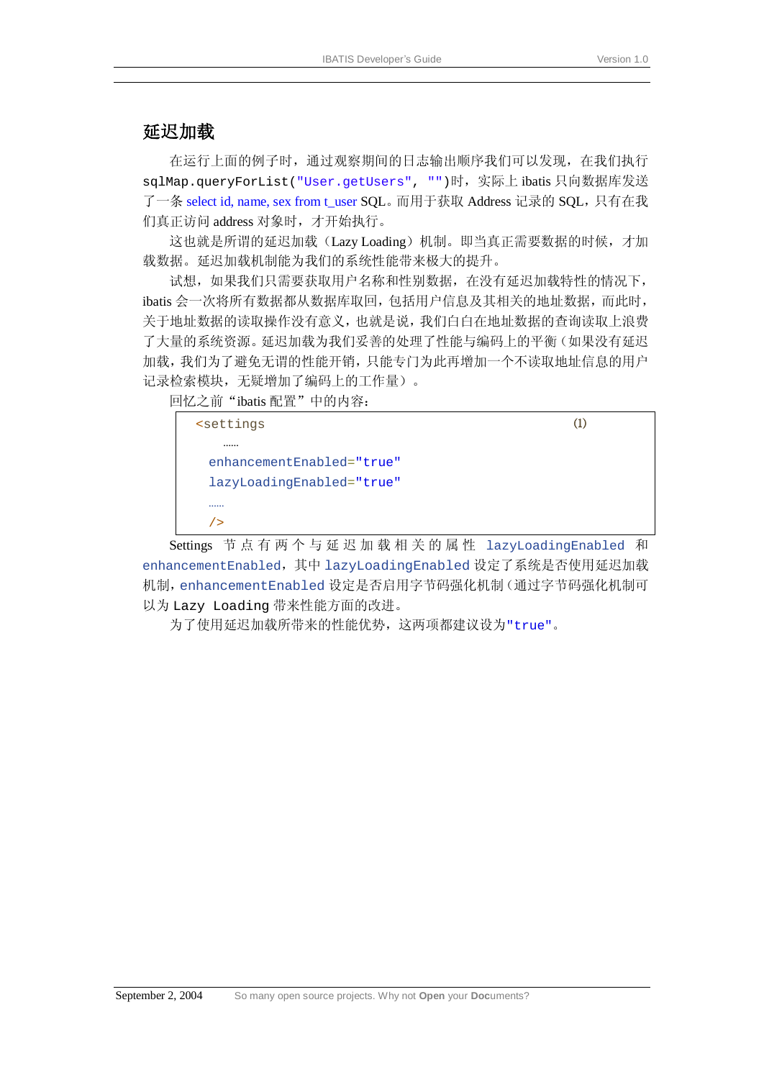#### 延迟加载

在运行上面的例子时,通过观察期间的日志输出顺序我们可以发现,在我们执行 sqlMap.queryForList("User.getUsers", "")时,实际上 ibatis 只向数据库发送 了一条 select id, name, sex from t\_user SOL。而用于获取 Address 记录的 SOL,只有在我 们真正访问 address 对象时,才开始执行。

这也就是所谓的延迟加载(Lazy Loading)机制。即当真正需要数据的时候,才加 载数据。延迟加载机制能为我们的系统性能带来极大的提升。

试想,如果我们只需要获取用户名称和性别数据,在没有延迟加载特性的情况下, ibatis 会一次将所有数据都从数据库取回,包括用户信息及其相关的地址数据,而此时, 关于地址数据的读取操作没有意义,也就是说,我们白白在地址数据的查询读取上浪费 了大量的系统资源。延迟加载为我们妥善的处理了性能与编码上的平衡(如果没有延迟 加载,我们为了避免无谓的性能开销,只能专门为此再增加一个不读取地址信息的用户 记录检索模块,无疑增加了编码上的工作量)。

回忆之前"ibatis 配置"中的内容:



Settings 节 点 有 两 个 与 延 迟 加 载 相 关 的 属 性 lazyLoadingEnabled 和 enhancementEnabled,其中 lazyLoadingEnabled 设定了系统是否使用延迟加载 机制,enhancementEnabled 设定是否启用字节码强化机制(通过字节码强化机制可 以为 Lazy Loading 带来性能方面的改进。

为了使用延迟加载所带来的性能优势,这两项都建议设为"true"。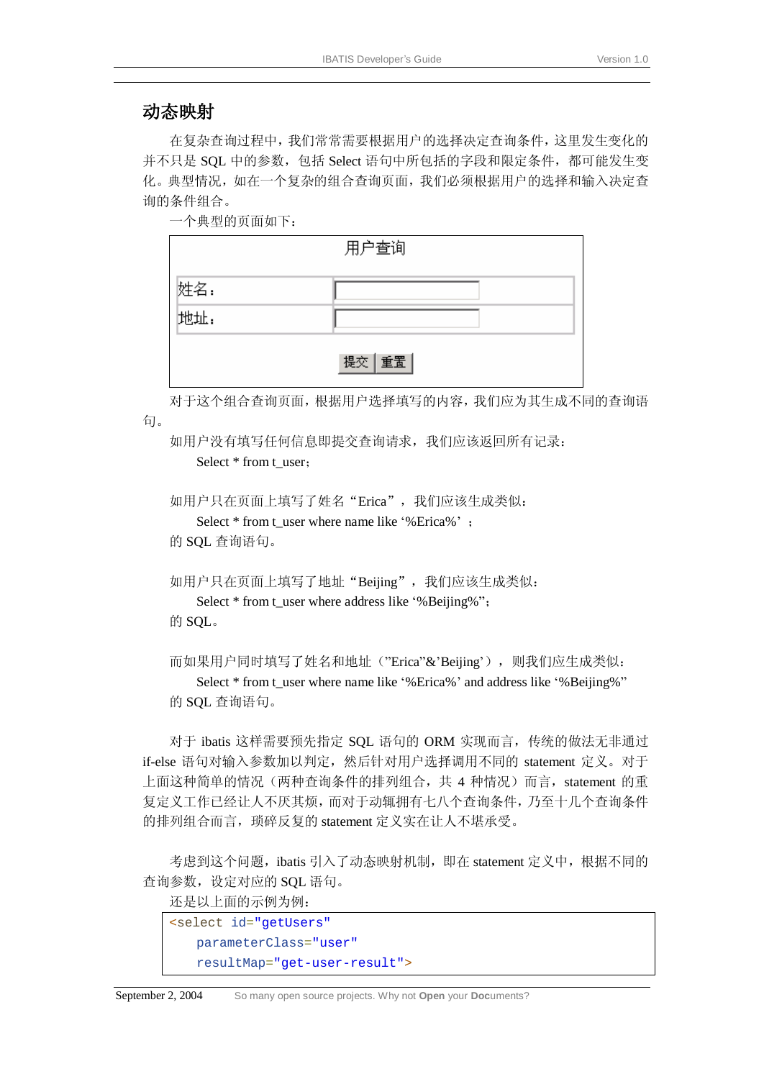### 动态映射

在复杂查询过程中,我们常常需要根据用户的选择决定查询条件,这里发生变化的 并不只是 SOL 中的参数, 包括 Select 语句中所包括的字段和限定条件, 都可能发生变 化。典型情况,如在一个复杂的组合查询页面,我们必须根据用户的选择和输入决定查 询的条件组合。

一个典型的页面如下:

|     | 用户查询    |
|-----|---------|
| 姓名: |         |
| 地址: |         |
|     | 提交   重置 |

对于这个组合查询页面,根据用户选择填写的内容,我们应为其生成不同的查询语 句。

如用户没有填写任何信息即提交查询请求,我们应该返回所有记录: Select \* from t\_user;

```
如用户只在页面上填写了姓名"Erica",我们应该生成类似:
```
Select \* from t\_user where name like '%Erica%' ;

的 SQL 查询语句。

```
如用户只在页面上填写了地址"Beijing", 我们应该生成类似:
   Select * from t_user where address like '%Beijing%";
的 SQL。
```
而如果用户同时填写了姓名和地址("Erica"&'Beijing'),则我们应生成类似: Select \* from t\_user where name like '%Erica%' and address like '%Beijing%" 的 SQL 查询语句。

对于 ibatis 这样需要预先指定 SQL 语句的 ORM 实现而言,传统的做法无非通过 if-else 语句对输入参数加以判定, 然后针对用户选择调用不同的 statement 定义。对于 上面这种简单的情况(两种查询条件的排列组合,共 4 种情况)而言, statement 的重 复定义工作已经让人不厌其烦,而对于动辄拥有七八个查询条件,乃至十几个查询条件 的排列组合而言, 琐碎反复的 statement 定义实在让人不堪承受。

考虑到这个问题, ibatis 引入了动态映射机制, 即在 statement 定义中, 根据不同的 查询参数,设定对应的 SQL 语句。

还是以上面的示例为例:

```
<select id="getUsers"
    parameterClass="user"
    resultMap="get-user-result">
```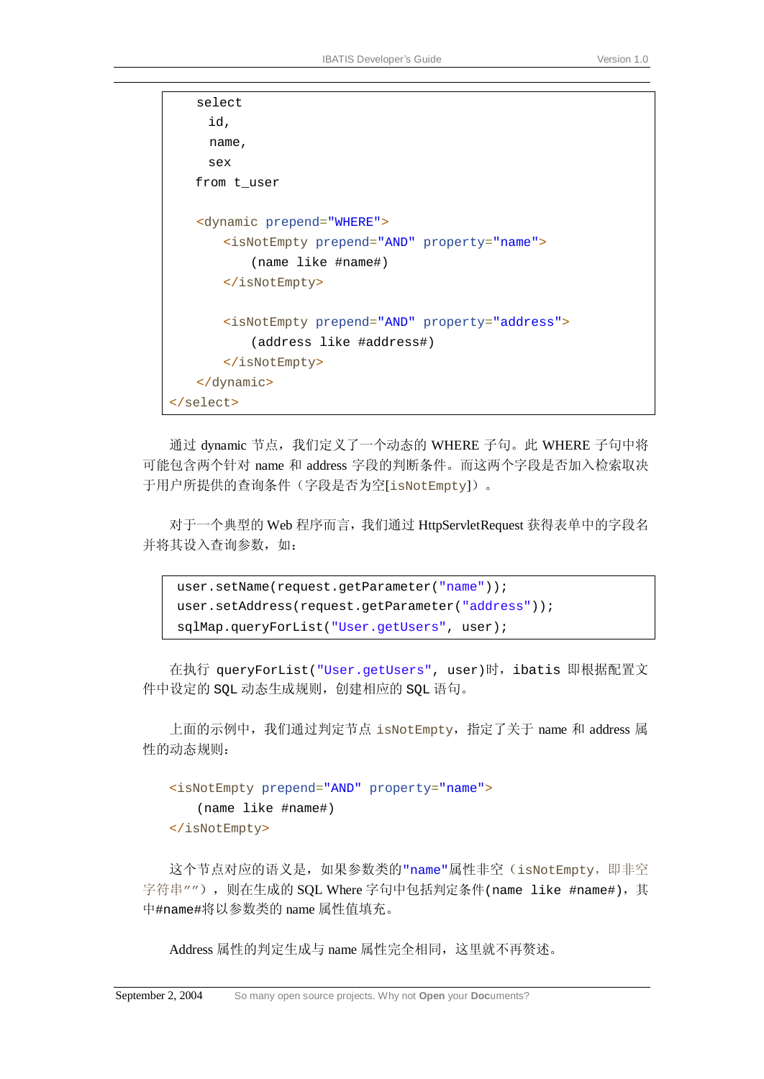```
select 
      id, 
      name, 
      sex 
    from t_user 
   <dynamic prepend="WHERE">
        <isNotEmpty prepend="AND" property="name">
           (name like #name#) 
        </isNotEmpty>
        <isNotEmpty prepend="AND" property="address">
           (address like #address#) 
        </isNotEmpty>
   </dynamic>
</select>
```
通过 dynamic 节点,我们定义了一个动态的 WHERE 子句。此 WHERE 子句中将 可能包含两个针对 name 和 address 字段的判断条件。而这两个字段是否加入检索取决 于用户所提供的查询条件(字段是否为空[isNotEmpty])。

对于一个典型的 Web 程序而言,我们通过 HttpServletRequest 获得表单中的字段名 并将其设入查询参数,如:

```
user.setName(request.getParameter("name"));
user.setAddress(request.getParameter("address"));
sqlMap.queryForList("User.getUsers", user);
```
在执行 queryForList("User.getUsers", user)时,ibatis 即根据配置文 件中设定的 SQL 动态生成规则,创建相应的 SQL 语句。

上面的示例中,我们通过判定节点 isNotEmpty,指定了关于 name 和 address 属 性的动态规则:

```
<isNotEmpty prepend="AND" property="name"> 
   (name like #name#) 
</isNotEmpty>
```
这个节点对应的语义是,如果参数类的"name"属性非空(isNotEmpty,即非空 字符串""), 则在生成的 SQL Where 字句中包括判定条件(name like #name#), 其 中#name#将以参数类的 name 属性值填充。

Address 属性的判定生成与 name 属性完全相同,这里就不再赘述。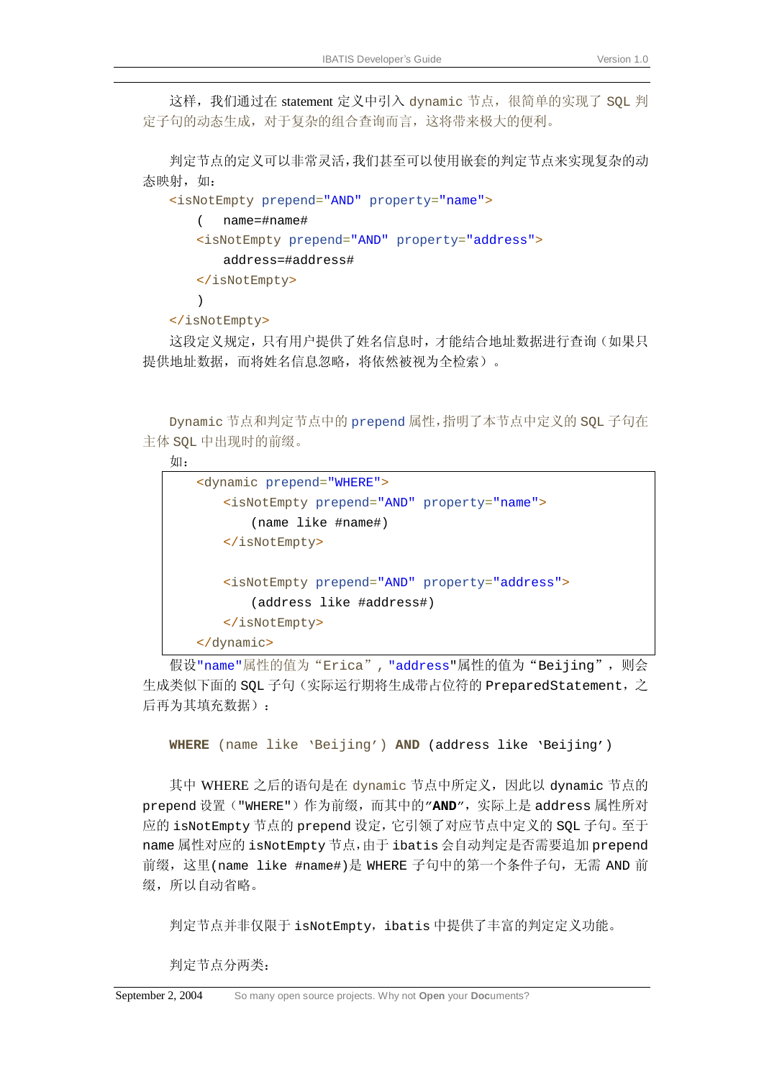这样,我们通过在 statement 定义中引入 dynamic 节点, 很简单的实现了 SQL 判 定子句的动态生成,对于复杂的组合查询而言,这将带来极大的便利。

判定节点的定义可以非常灵活,我们甚至可以使用嵌套的判定节点来实现复杂的动 态映射,如:

```
<isNotEmpty prepend="AND" property="name"> 
   ( name=#name# 
   <isNotEmpty prepend="AND" property="address"> 
       address=#address#
   </isNotEmpty> 
   )
```
</isNotEmpty>

这段定义规定,只有用户提供了姓名信息时,才能结合地址数据进行查询(如果只 提供地址数据,而将姓名信息忽略,将依然被视为全检索)。

Dynamic 节点和判定节点中的 prepend 属性,指明了本节点中定义的 SQL 子句在 主体 SQL 中出现时的前缀。

```
如:
```

```
<dynamic prepend="WHERE">
    <isNotEmpty prepend="AND" property="name">
       (name like #name#) 
    </isNotEmpty>
    <isNotEmpty prepend="AND" property="address">
       (address like #address#) 
    </isNotEmpty>
</dynamic>
```
假设"name"属性的值为"Erica","address"属性的值为"Beijing", 则会 生成类似下面的 SQL 子句(实际运行期将生成带占位符的 PreparedStatement,之 后再为其填充数据):

**WHERE** (name like 'Beijing') **AND** (address like 'Beijing')

其中 WHERE 之后的语句是在 dynamic 节点中所定义, 因此以 dynamic 节点的 prepend 设置("WHERE")作为前缀,而其中的"AND",实际上是 address 属性所对 应的 isNotEmpty 节点的 prepend 设定,它引领了对应节点中定义的 SQL 子句。至于 name 属性对应的 isNotEmpty 节点,由于 ibatis 会自动判定是否需要追加 prepend 前缀,这里(name like #name#)是 WHERE 子句中的第一个条件子句,无需 AND 前 缀,所以自动省略。

判定节点并非仅限于 isNotEmpty, ibatis 中提供了丰富的判定定义功能。

判定节点分两类: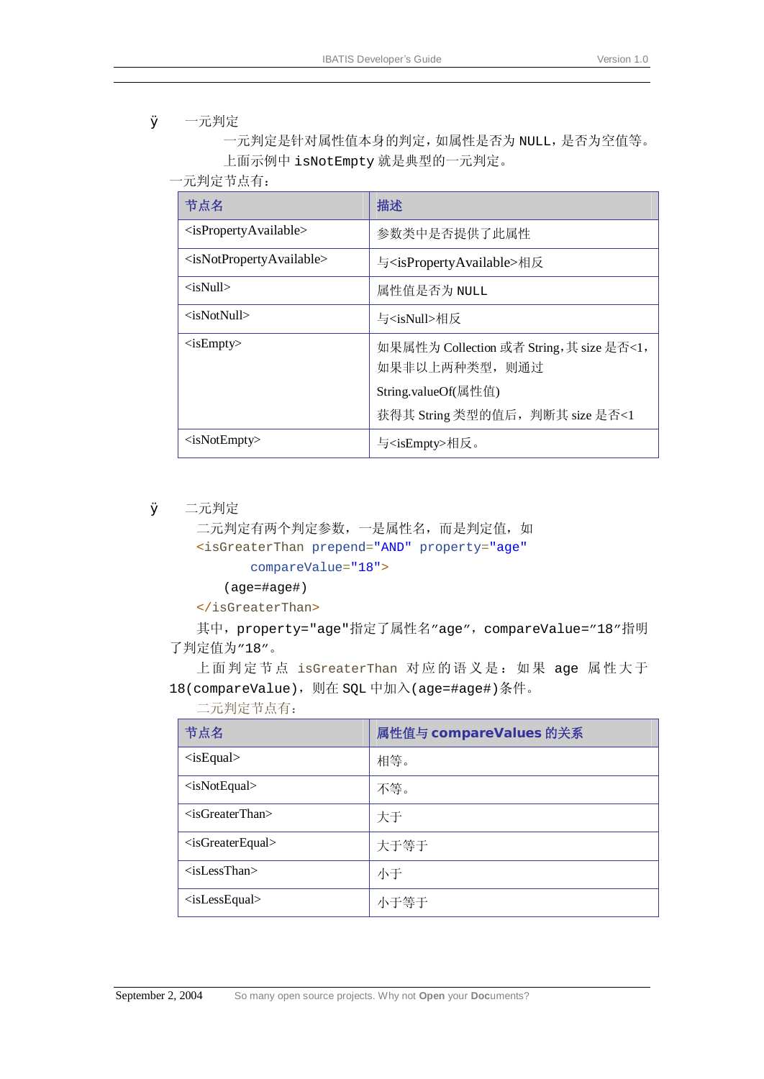#### Ø 一元判定

一元判定是针对属性值本身的判定,如属性是否为 NULL,是否为空值等。 上面示例中 isNotEmpty 就是典型的一元判定。

一元判定节点有:

| 节点名                                               | 描述                                                        |
|---------------------------------------------------|-----------------------------------------------------------|
| $\langle$ isPropertyAvailable>                    | 参数类中是否提供了此属性                                              |
| <isnotpropertyavailable></isnotpropertyavailable> | 与 <ispropertyavailable>相反</ispropertyavailable>           |
| $\langle$ isNull $\rangle$                        | 属性值是否为 NULL                                               |
| <isnotnull></isnotnull>                           | 与 <isnull>相反</isnull>                                     |
| $\langle$ isEmpty $\rangle$                       | 如果属性为 Collection 或者 String, 其 size 是否<1,<br>如果非以上两种类型,则通过 |
|                                                   | String.valueOf(属性值)                                       |
|                                                   | 获得其 String 类型的值后, 判断其 size 是否<1                           |
| $\langle$ isNotEmpty>                             | 与 <isempty>相反。</isempty>                                  |

Ø 二元判定

二元判定有两个判定参数,一是属性名,而是判定值,如

<isGreaterThan prepend="AND" property="age"

compareValue="18">

(age=#age#)

</isGreaterThan>

其中, property="age"指定了属性名"age", compareValue="18"指明 了判定值为"18"。

上面判定节点 isGreaterThan 对应的语义是: 如果 age 属性大于 18(compareValue),则在 SQL 中加入(age=#age#)条件。

二元判定节点有:

| 节点名                               | 属性值与 compareValues 的关系 |
|-----------------------------------|------------------------|
| $\langle$ isEqual $\rangle$       | 相等。                    |
| $\langle$ isNotEqual $\rangle$    | 不等。                    |
| $\langle$ isGreaterThan $\rangle$ | 大于                     |
| $\langle$ isGreaterEqual>         | 大于等于                   |
| $\langle$ isLessThan $\rangle$    | 小于                     |
| $\langle$ isLessEqual $\rangle$   | 小于等于                   |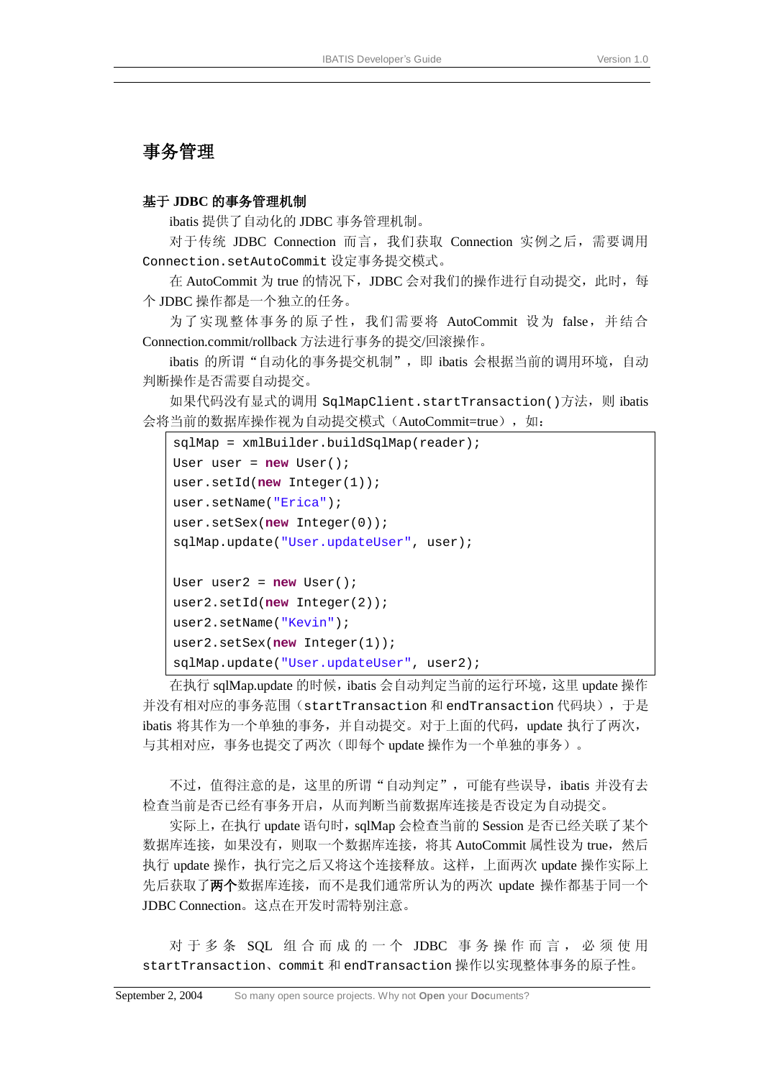#### 事务管理

#### 基于 **JDBC** 的事务管理机制

ibatis 提供了自动化的 JDBC 事务管理机制。

对于传统 JDBC Connection 而言,我们获取 Connection 实例之后,需要调用 Connection.setAutoCommit 设定事务提交模式。

在 AutoCommit 为 true 的情况下, JDBC 会对我们的操作进行自动提交, 此时, 每 个 JDBC 操作都是一个独立的任务。

为了实现整体事务的原子性, 我们需要将 AutoCommit 设为 false, 并结合 Connection.commit/rollback 方法进行事务的提交/回滚操作。

ibatis 的所谓"自动化的事务提交机制", 即 ibatis 会根据当前的调用环境, 自动 判断操作是否需要自动提交。

如果代码没有显式的调用 SqlMapClient.startTransaction()方法,则 ibatis 会将当前的数据库操作视为自动提交模式(AutoCommit=true), 如:

```
sqlMap = xmlBuilder.buildSqlMap(reader); 
User user = new User(); 
user.setId(new Integer(1)); 
user.setName("Erica"); 
user.setSex(new Integer(0)); 
sqlMap.update("User.updateUser", user); 
User user2 = new User(); 
user2.setId(new Integer(2)); 
user2.setName("Kevin"); 
user2.setSex(new Integer(1)); 
sqlMap.update("User.updateUser", user2);
```
在执行 sqlMap.update 的时候, ibatis 会自动判定当前的运行环境, 这里 update 操作 并没有相对应的事务范围(startTransaction 和 endTransaction 代码块),于是 ibatis 将其作为一个单独的事务,并自动提交。对于上面的代码,update 执行了两次, 与其相对应,事务也提交了两次(即每个 update 操作为一个单独的事务)。

不过, 值得注意的是, 这里的所谓"自动判定", 可能有些误导, ibatis 并没有去 检查当前是否已经有事务开启,从而判断当前数据库连接是否设定为自动提交。

实际上, 在执行 update 语句时, sqlMap 会检查当前的 Session 是否已经关联了某个 数据库连接,如果没有,则取一个数据库连接,将其 AutoCommit 属性设为 true,然后 执行 update 操作,执行完之后又将这个连接释放。这样,上面两次 update 操作实际上 先后获取了两个数据库连接,而不是我们通常所认为的两次 update 操作都基于同一个 JDBC Connection。这点在开发时需特别注意。

对于多条 SQL 组合而成的一个 JDBC 事务操作而言, 必须使用 startTransaction、commit 和 endTransaction 操作以实现整体事务的原子性。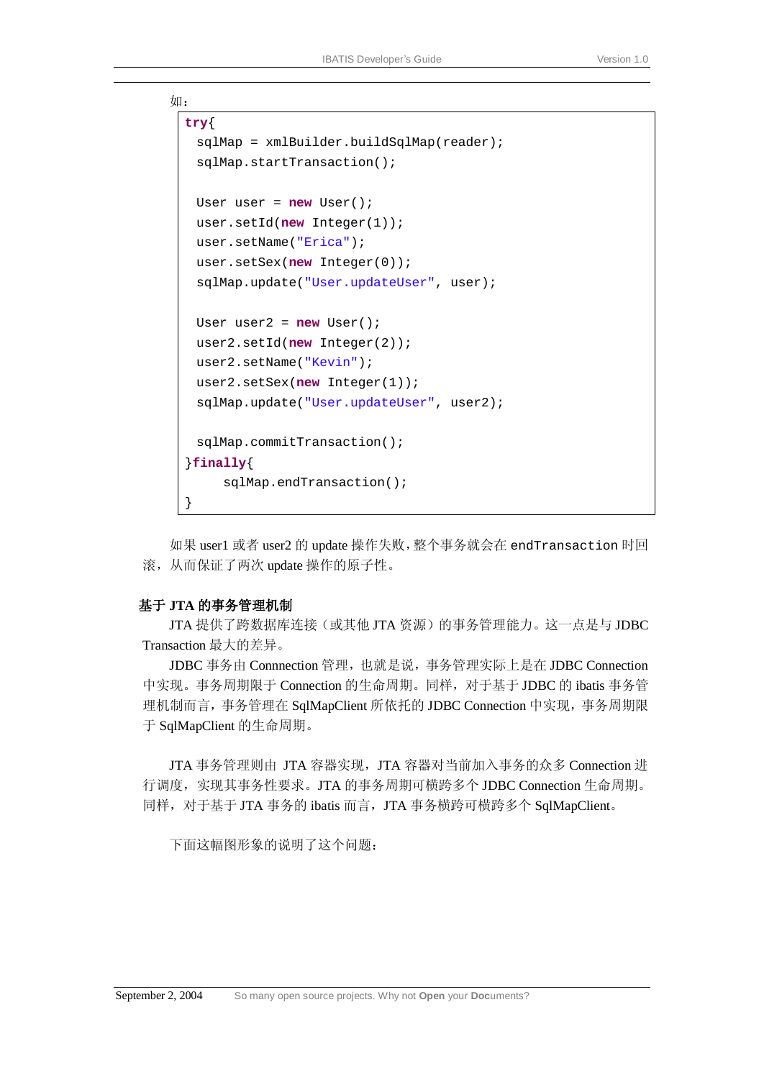```
如:
 try{ 
   sqlMap = xmlBuilder.buildSqlMap(reader); 
   sqlMap.startTransaction(); 
   User user = new User(); 
   user.setId(new Integer(1)); 
   user.setName("Erica"); 
   user.setSex(new Integer(0)); 
   sqlMap.update("User.updateUser", user); 
   User user2 = new User(); 
   user2.setId(new Integer(2)); 
   user2.setName("Kevin"); 
   user2.setSex(new Integer(1)); 
   sqlMap.update("User.updateUser", user2); 
   sqlMap.commitTransaction(); 
  }finally{ 
       sqlMap.endTransaction(); 
  }
```
如果 user1 或者 user2 的 update 操作失败,整个事务就会在 endTransaction 时回 滚,从而保证了两次 update 操作的原子性。

#### 基于 **JTA** 的事务管理机制

JTA 提供了跨数据库连接(或其他 JTA 资源)的事务管理能力。这一点是与 JDBC Transaction 最大的差异。

JDBC 事务由 Connnection 管理,也就是说,事务管理实际上是在 JDBC Connection 中实现。事务周期限于 Connection 的生命周期。同样,对于基于 JDBC 的 ibatis 事务管 理机制而言,事务管理在 SqlMapClient 所依托的 JDBC Connection 中实现,事务周期限 于 SqlMapClient 的生命周期。

JTA 事务管理则由 JTA 容器实现,JTA 容器对当前加入事务的众多 Connection 进 行调度,实现其事务性要求。JTA 的事务周期可横跨多个 JDBC Connection 生命周期。 同样,对于基于 JTA 事务的 ibatis 而言,JTA 事务横跨可横跨多个 SqlMapClient。

下面这幅图形象的说明了这个问题: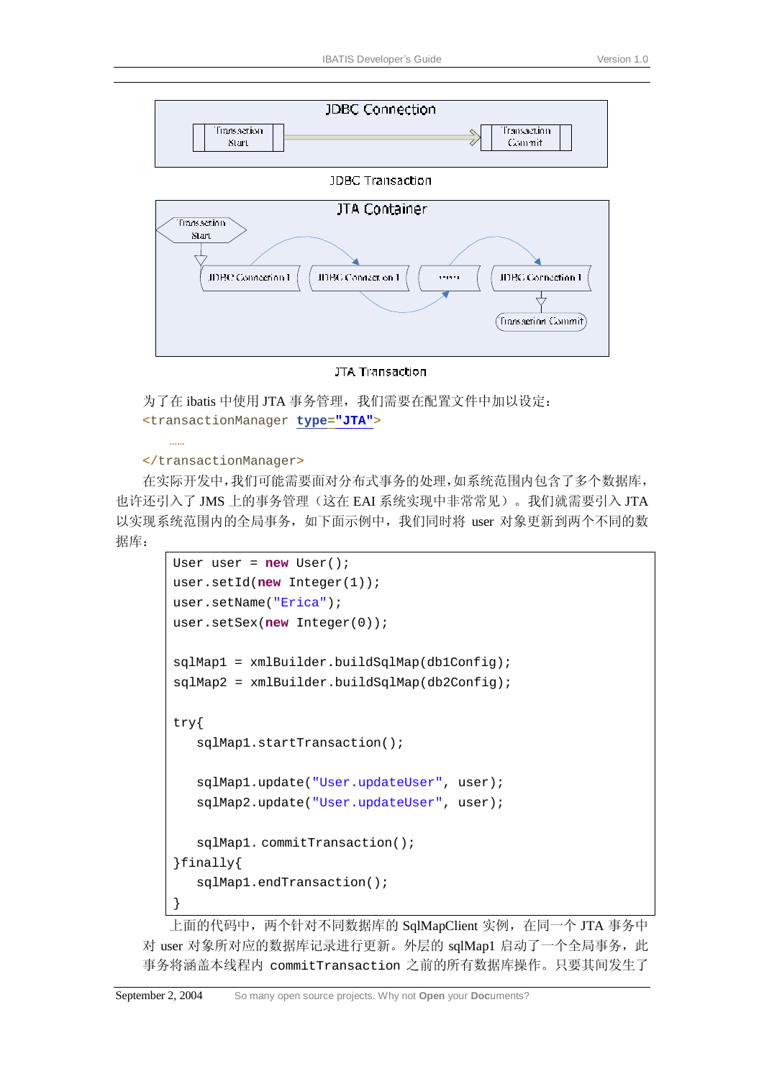

**JDBC Transaction** 



#### JTA Transaction

为了在 ibatis 中使用 JTA 事务管理, 我们需要在配置文件中加以设定: <transactionManager **type="JTA"**>

#### </transactionManager>

……

在实际开发中,我们可能需要面对分布式事务的处理,如系统范围内包含了多个数据库, 也许还引入了 JMS 上的事务管理(这在 EAI 系统实现中非常常见)。我们就需要引入 JTA 以实现系统范围内的全局事务,如下面示例中,我们同时将 user 对象更新到两个不同的数 据库:

```
User user = new User(); 
user.setId(new Integer(1)); 
user.setName("Erica");
user.setSex(new Integer(0)); 
sqlMap1 = xmlBuilder.buildSqlMap(db1Config); 
sqlMap2 = xmlBuilder.buildSqlMap(db2Config); 
try{ 
   sqlMap1.startTransaction(); 
   sqlMap1.update("User.updateUser", user); 
   sqlMap2.update("User.updateUser", user); 
   sqlMap1. commitTransaction(); 
}finally{ 
   sqlMap1.endTransaction(); 
}
```
上面的代码中,两个针对不同数据库的 SqlMapClient 实例, 在同一个 JTA 事务中 对 user 对象所对应的数据库记录进行更新。外层的 sqlMap1 启动了一个全局事务,此 事务将涵盖本线程内 commitTransaction 之前的所有数据库操作。只要其间发生了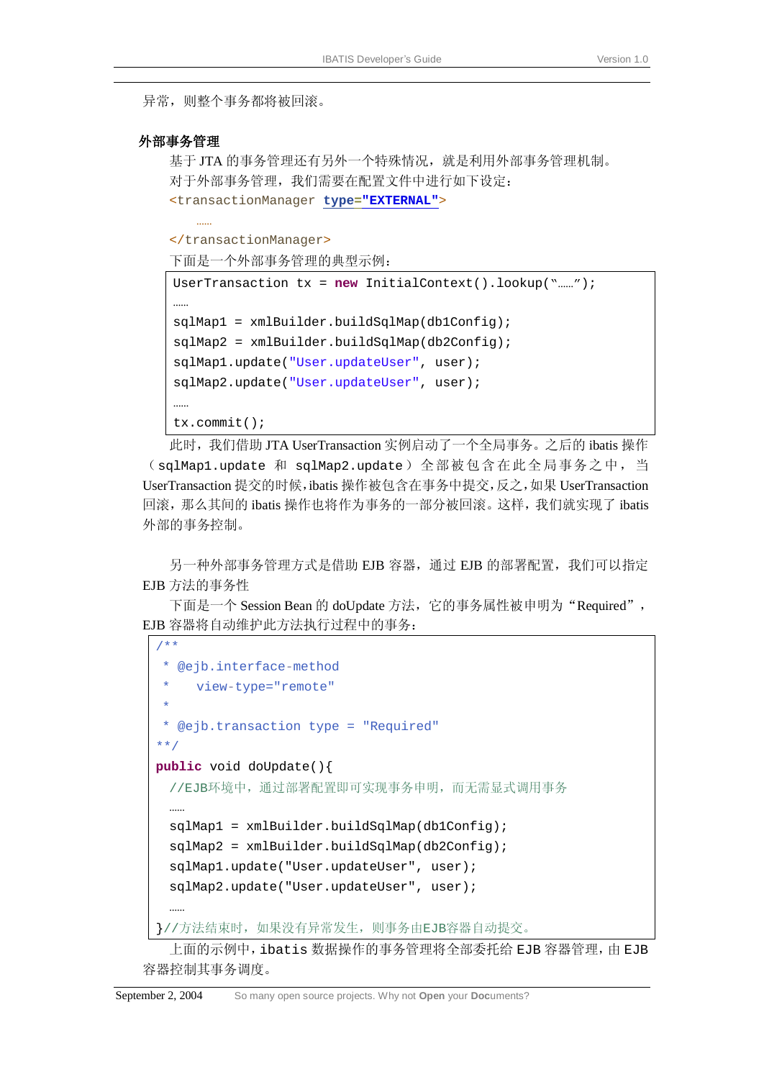异常, 则整个事务都将被回滚。

#### 外部事务管理

……

基于 JTA 的事务管理还有另外一个特殊情况, 就是利用外部事务管理机制。 对于外部事务管理,我们需要在配置文件中进行如下设定: <transactionManager **type="EXTERNAL"**>

</transactionManager>

下面是一个外部事务管理的典型示例:

```
UserTransaction tx = new InitialContext().lookup("……"); 
……
sqlMap1 = xmlBuilder.buildSqlMap(db1Config); 
sqlMap2 = xmlBuilder.buildSqlMap(db2Config); 
sqlMap1.update("User.updateUser", user); 
sqlMap2.update("User.updateUser", user); 
……
tx.commit();
```
此时,我们借助 JTA UserTransaction 实例启动了一个全局事务。之后的 ibatis 操作 (sqlMap1.update 和 sqlMap2.update)全部被包含在此全局事务之中,当 UserTransaction 提交的时候,ibatis 操作被包含在事务中提交,反之,如果 UserTransaction 回滚,那么其间的 ibatis 操作也将作为事务的一部分被回滚。这样,我们就实现了 ibatis 外部的事务控制。

另一种外部事务管理方式是借助 EJB 容器,通过 EJB 的部署配置,我们可以指定 EJB 方法的事务性

下面是一个 Session Bean 的 doUpdate 方法, 它的事务属性被申明为"Required", EJB 容器将自动维护此方法执行过程中的事务:

```
/**
 * @ejb.interface-method
   view-type="remote"
 * 
 * @ejb.transaction type = "Required" 
**/
public void doUpdate(){ 
 //EJB环境中,通过部署配置即可实现事务申明,而无需显式调用事务
 sqlMap1 = xmlBuilder.buildSqlMap(db1Config); 
 sqlMap2 = xmlBuilder.buildSqlMap(db2Config); 
 sqlMap1.update("User.updateUser", user); 
 sqlMap2.update("User.updateUser", user); 
 ……
}//方法结束时,如果没有异常发生,则事务由EJB容器自动提交。
```
上面的示例中, ibatis 数据操作的事务管理将全部委托给 EJB 容器管理, 由 EJB 容器控制其事务调度。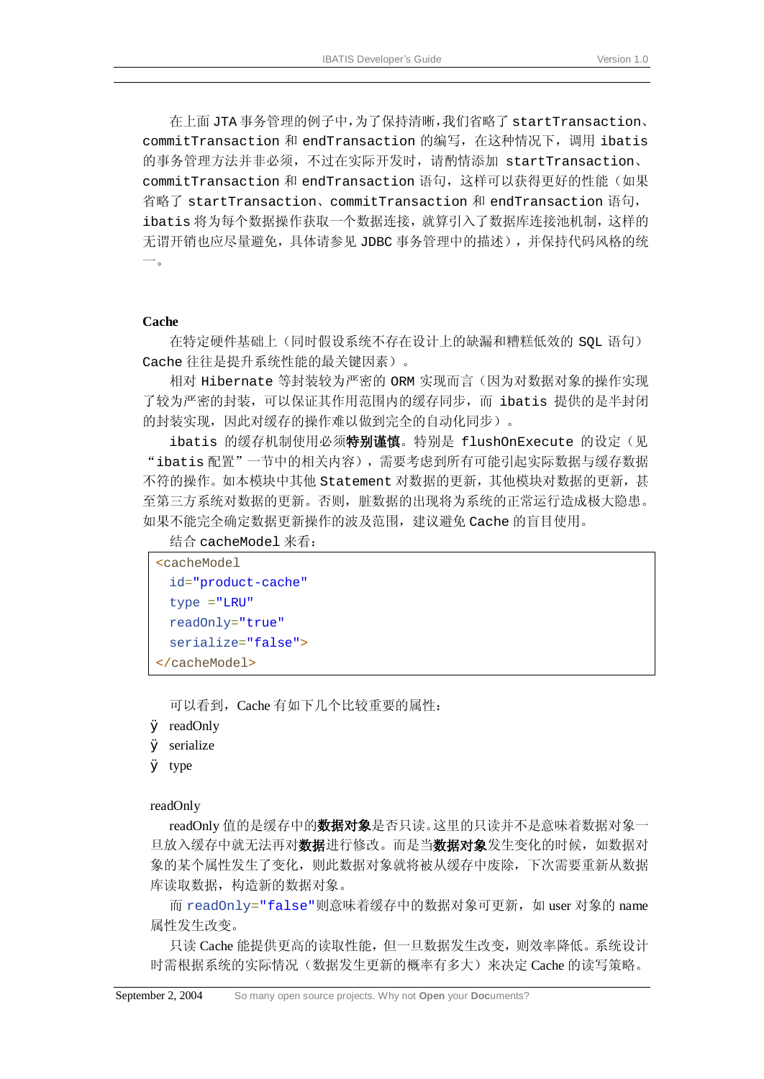在上面 JTA 事务管理的例子中,为了保持清晰,我们省略了 startTransaction、 commitTransaction 和 endTransaction 的编写,在这种情况下,调用 ibatis 的事务管理方法并非必须,不过在实际开发时,请酌情添加 startTransaction、 commitTransaction 和 endTransaction 语句,这样可以获得更好的性能(如果 省略了 startTransaction、commitTransaction 和 endTransaction 语句, ibatis 将为每个数据操作获取一个数据连接,就算引入了数据库连接池机制,这样的 无谓开销也应尽量避免,具体请参见 JDBC 事务管理中的描述),并保持代码风格的统 一。

#### **Cache**

在特定硬件基础上(同时假设系统不存在设计上的缺漏和糟糕低效的 SQL 语句) Cache 往往是提升系统性能的最关键因素)。

相对 Hibernate 等封装较为严密的 ORM 实现而言(因为对数据对象的操作实现 了较为严密的封装,可以保证其作用范围内的缓存同步,而 ibatis 提供的是半封闭 的封装实现,因此对缓存的操作难以做到完全的自动化同步)。

ibatis 的缓存机制使用必须特别谨慎。特别是 flushOnExecute 的设定(见 "ibatis 配置"一节中的相关内容),需要考虑到所有可能引起实际数据与缓存数据 不符的操作。如本模块中其他 Statement 对数据的更新,其他模块对数据的更新,甚 至第三方系统对数据的更新。否则,脏数据的出现将为系统的正常运行造成极大隐患。 如果不能完全确定数据更新操作的波及范围,建议避免 Cache 的盲目使用。

结合 cacheModel 来看:

```
<cacheModel 
 id="product-cache" 
 type ="LRU" 
 readOnly="true" 
  serialize="false">
</cacheModel>
```
可以看到,Cache 有如下几个比较重要的属性:

- Ø readOnly
- Ø serialize
- Ø type

readOnly

readOnly 值的是缓存中的**数据对象**是否只读。这里的只读并不是意味着数据对象一 旦放入缓存中就无法再对**数据**进行修改。而是当**数据对象**发生变化的时候,如数据对 象的某个属性发生了变化,则此数据对象就将被从缓存中废除,下次需要重新从数据 库读取数据,构造新的数据对象。

而 readOnly="false"则意味着缓存中的数据对象可更新,如 user 对象的 name 属性发生改变。

只读 Cache 能提供更高的读取性能,但一旦数据发生改变,则效率降低。系统设计 时需根据系统的实际情况(数据发生更新的概率有多大)来决定 Cache 的读写策略。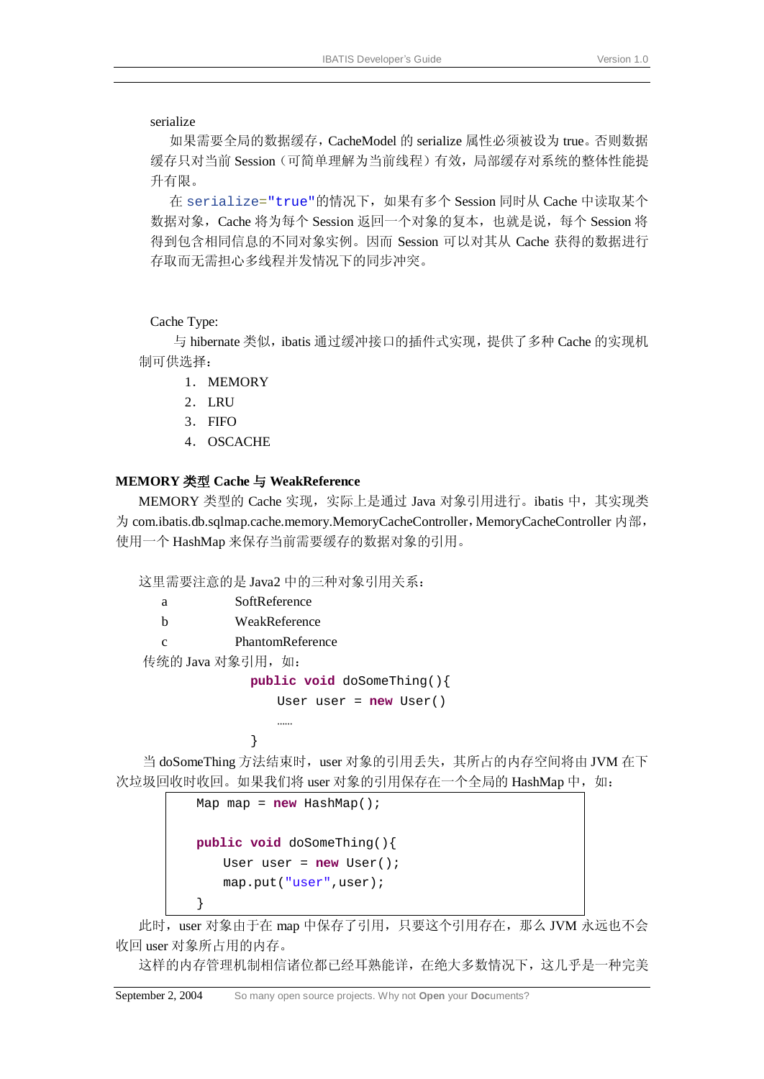#### serialize

如果需要全局的数据缓存,CacheModel 的 serialize 属性必须被设为 true。否则数据 缓存只对当前 Session(可简单理解为当前线程)有效,局部缓存对系统的整体性能提 升有限。

在 serialize="true"的情况下,如果有多个 Session 同时从 Cache 中读取某个 数据对象, Cache 将为每个 Session 返回一个对象的复本, 也就是说, 每个 Session 将 得到包含相同信息的不同对象实例。因而 Session 可以对其从 Cache 获得的数据进行 存取而无需担心多线程并发情况下的同步冲突。

#### Cache Type:

与 hibernate 类似, ibatis 通过缓冲接口的插件式实现, 提供了多种 Cache 的实现机 制可供选择:

- 1. MEMORY
- 2. LRU
- 3. FIFO
- 4. OSCACHE

#### **MEMORY** 类型 **Cache** 与 **WeakReference**

MEMORY 类型的 Cache 实现, 实际上是通过 Java 对象引用进行。ibatis 中, 其实现类 为 com.ibatis.db.sqlmap.cache.memory.MemoryCacheController, MemoryCacheController 内部, 使用一个 HashMap 来保存当前需要缓存的数据对象的引用。

这里需要注意的是 Java2 中的三种对象引用关系:

| a | SoftReference     |                            |
|---|-------------------|----------------------------|
| h | WeakReference     |                            |
| C | PhantomReference  |                            |
|   | 传统的 Java 对象引用, 如: |                            |
|   |                   | public void doSomeThing(){ |

```
User user = new User()
```
}

……

当 doSomeThing 方法结束时,user 对象的引用丢失,其所占的内存空间将由 JVM 在下 次垃圾回收时收回。如果我们将 user 对象的引用保存在一个全局的 HashMap 中, 如:

```
Map map = new HashMap(); 
public void doSomeThing(){ 
   User user = new User(); 
   map.put("user",user); 
}
```
此时, user 对象由于在 map 中保存了引用, 只要这个引用存在, 那么 JVM 永远也不会 收回 user 对象所占用的内存。

这样的内存管理机制相信诸位都已经耳熟能详,在绝大多数情况下,这几乎是一种完美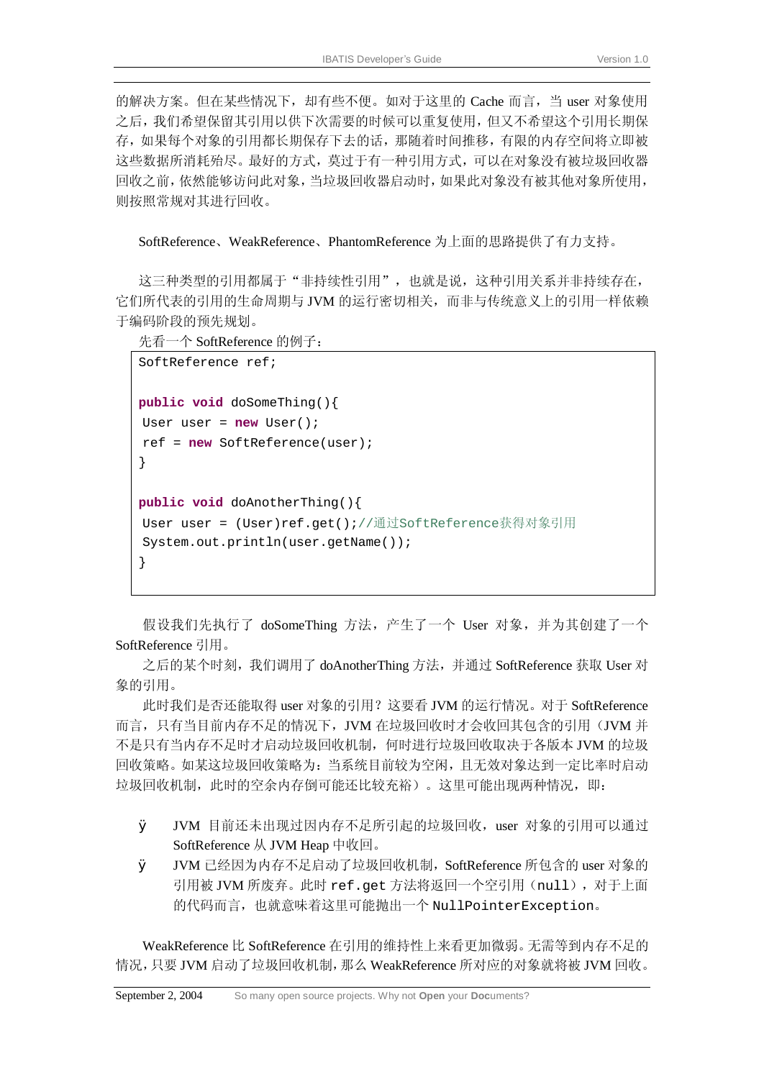的解决方案。但在某些情况下,却有些不便。如对于这里的 Cache 而言,当 user 对象使用 之后,我们希望保留其引用以供下次需要的时候可以重复使用,但又不希望这个引用长期保 存,如果每个对象的引用都长期保存下去的话,那随着时间推移,有限的内存空间将立即被 这些数据所消耗殆尽。最好的方式,莫过于有一种引用方式,可以在对象没有被垃圾回收器 回收之前,依然能够访问此对象,当垃圾回收器启动时,如果此对象没有被其他对象所使用, 则按照常规对其进行回收。

SoftReference、WeakReference、PhantomReference 为上面的思路提供了有力支持。

这三种类型的引用都属于"非持续性引用",也就是说,这种引用关系并非持续存在, 它们所代表的引用的生命周期与 JVM 的运行密切相关,而非与传统意义上的引用一样依赖 于编码阶段的预先规划。

先看一个 SoftReference 的例子:

```
SoftReference ref; 
public void doSomeThing(){ 
User user = new User(); 
ref = new SoftReference(user); 
} 
public void doAnotherThing(){ 
User user = (User)ref.get();//通过SoftReference获得对象引用
System.out.println(user.getName()); 
}
```
假设我们先执行了 doSomeThing 方法,产生了一个 User 对象,并为其创建了一个 SoftReference 引用。

之后的某个时刻,我们调用了 doAnotherThing 方法,并通过 SoftReference 获取 User 对 象的引用。

此时我们是否还能取得 user 对象的引用?这要看 JVM 的运行情况。对于 SoftReference 而言,只有当目前内存不足的情况下,JVM 在垃圾回收时才会收回其包含的引用(JVM 并 不是只有当内存不足时才启动垃圾回收机制,何时进行垃圾回收取决于各版本 JVM 的垃圾 回收策略。如某这垃圾回收策略为:当系统目前较为空闲,且无效对象达到一定比率时启动 垃圾回收机制,此时的空余内存倒可能还比较充裕)。这里可能出现两种情况,即:

- Ø JVM 目前还未出现过因内存不足所引起的垃圾回收,user 对象的引用可以通过 SoftReference 从 JVM Heap 中收回。
- Ø JVM 已经因为内存不足启动了垃圾回收机制,SoftReference 所包含的 user 对象的 引用被 JVM 所废弃。此时 ref.qet 方法将返回一个空引用 (null), 对于上面 的代码而言,也就意味着这里可能抛出一个 NullPointerException。

WeakReference 比 SoftReference 在引用的维持性上来看更加微弱。无需等到内存不足的 情况,只要 JVM 启动了垃圾回收机制,那么 WeakReference 所对应的对象就将被 JVM 回收。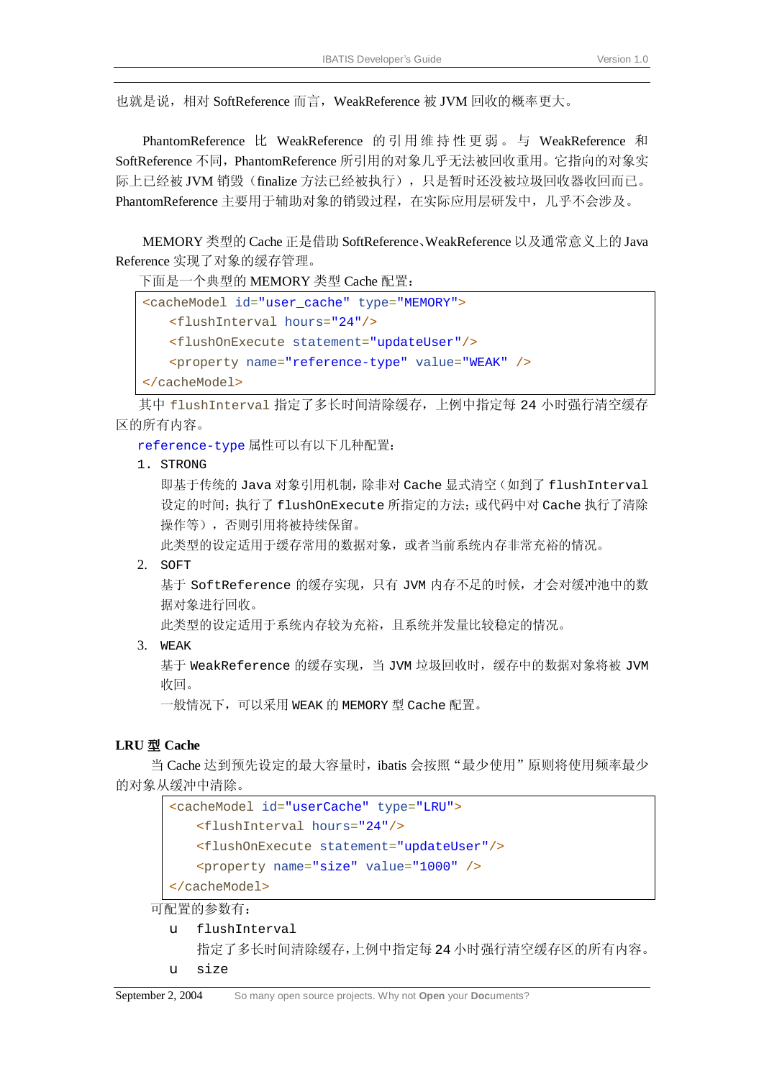也就是说,相对 SoftReference 而言,WeakReference 被 JVM 回收的概率更大。

PhantomReference 比 WeakReference 的引用 维 持 性 更 弱 。 与 WeakReference 和 SoftReference 不同,PhantomReference 所引用的对象几乎无法被回收重用。它指向的对象实 际上已经被 JVM 销毁(finalize 方法已经被执行), 只是暂时还没被垃圾回收器收回而已。 PhantomReference 主要用于辅助对象的销毁过程, 在实际应用层研发中, 几乎不会涉及。

MEMORY 类型的 Cache 正是借助 SoftReference、WeakReference 以及通常意义上的 Java Reference 实现了对象的缓存管理。

下面是一个典型的 MEMORY 类型 Cache 配置:

```
<cacheModel id="user_cache" type="MEMORY">
   <flushInterval hours="24"/> 
   <flushOnExecute statement="updateUser"/> 
   <property name="reference-type" value="WEAK" />
</cacheModel>
```
其中 flushInterval 指定了多长时间清除缓存, 上例中指定每 24 小时强行清空缓存 区的所有内容。

reference-type 属性可以有以下几种配置:

1. STRONG

即基于传统的 Java 对象引用机制,除非对 Cache 显式清空(如到了 flushInterval 设定的时间;执行了 flushOnExecute 所指定的方法;或代码中对 Cache 执行了清除 操作等),否则引用将被持续保留。

此类型的设定适用于缓存常用的数据对象,或者当前系统内存非常充裕的情况。

2. SOFT

基于 SoftReference 的缓存实现,只有 JVM 内存不足的时候,才会对缓冲池中的数 据对象进行回收。

此类型的设定适用于系统内存较为充裕,且系统并发量比较稳定的情况。

3. WEAK

基于 WeakReference 的缓存实现,当 JVM 垃圾回收时,缓存中的数据对象将被 JVM 收回。

一般情况下,可以采用 WEAK 的 MEMORY 型 Cache 配置。

#### **LRU** 型 **Cache**

当 Cache 达到预先设定的最大容量时,ibatis 会按照"最少使用"原则将使用频率最少 的对象从缓冲中清除。

| <cachemodel id="userCache" type="LRU"></cachemodel>      |
|----------------------------------------------------------|
| <flushinterval hours="24"></flushinterval>               |
| <flushonexecute statement="updateUser"></flushonexecute> |
| <property name="size" value="1000"></property>           |
| $\langle$ /cacheModel>                                   |

可配置的参数有:

- u flushInterval 指定了多长时间清除缓存,上例中指定每 24 小时强行清空缓存区的所有内容。
- u size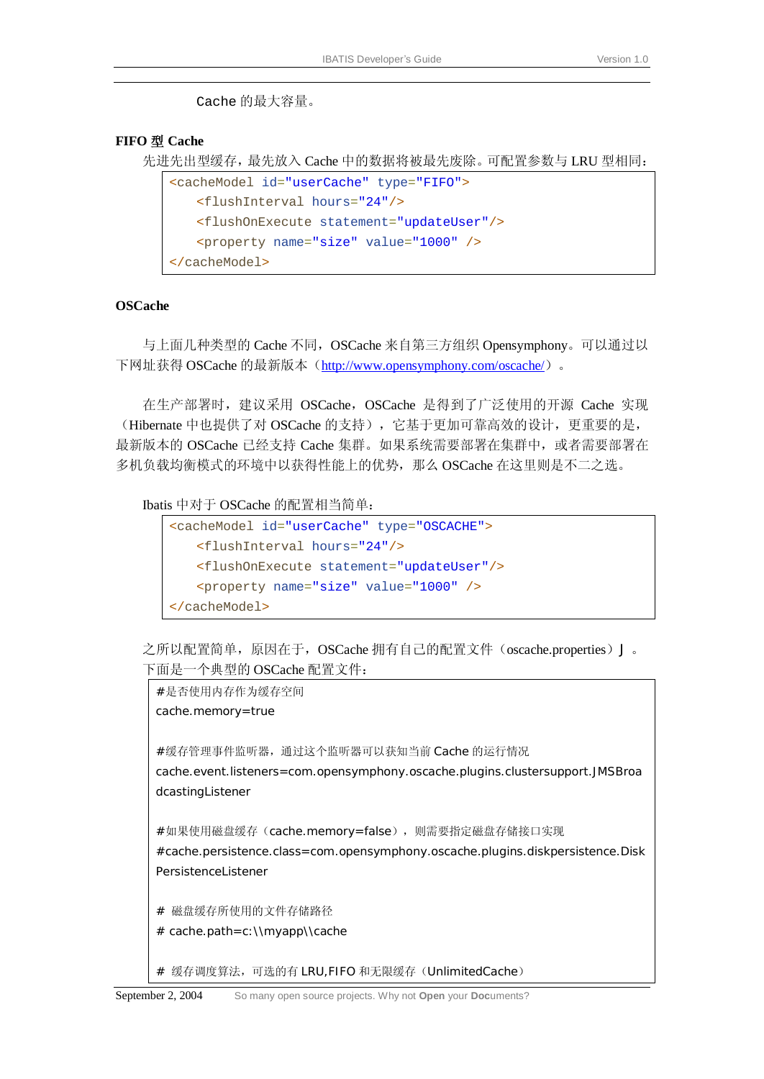Cache 的最大容量。

#### **FIFO** 型 **Cache**

先进先出型缓存,最先放入 Cache 中的数据将被最先废除。可配置参数与 LRU 型相同:

```
<cacheModel id="userCache" type="FIFO">
   <flushInterval hours="24"/>
   <flushOnExecute statement="updateUser"/>
   <property name="size" value="1000" />
</cacheModel>
```
#### **OSCache**

与上面几种类型的 Cache 不同,OSCache 来自第三方组织 Opensymphony。可以通过以 下网址获得 OSCache 的最新版本 (<http://www.opensymphony.com/oscache/>)。

在生产部署时,建议采用 OSCache, OSCache 是得到了广泛使用的开源 Cache 实现 (Hibernate 中也提供了对 OSCache 的支持), 它基于更加可靠高效的设计, 更重要的是, 最新版本的 OSCache 已经支持 Cache 集群。如果系统需要部署在集群中,或者需要部署在 多机负载均衡模式的环境中以获得性能上的优势,那么 OSCache 在这里则是不二之选。

Ibatis 中对于 OSCache 的配置相当简单:

```
<cacheModel id="userCache" type="OSCACHE">
   <flushInterval hours="24"/>
   <flushOnExecute statement="updateUser"/>
   <property name="size" value="1000" />
</cacheModel>
```
之所以配置简单,原因在于,OSCache 拥有自己的配置文件(oscache.properties)J。 下面是一个典型的 OSCache 配置文件:

#是否使用内存作为缓存空间 cache.memory=true #缓存管理事件监听器,通过这个监听器可以获知当前 Cache 的运行情况 cache.event.listeners=com.opensymphony.oscache.plugins.clustersupport.JMSBroa dcastingListener #如果使用磁盘缓存(cache.memory=false),则需要指定磁盘存储接口实现 #cache.persistence.class=com.opensymphony.oscache.plugins.diskpersistence.Disk PersistenceListener # 磁盘缓存所使用的文件存储路径 # cache.path=c:\\myapp\\cache

# 缓存调度算法,可选的有 LRU,FIFO 和无限缓存(UnlimitedCache)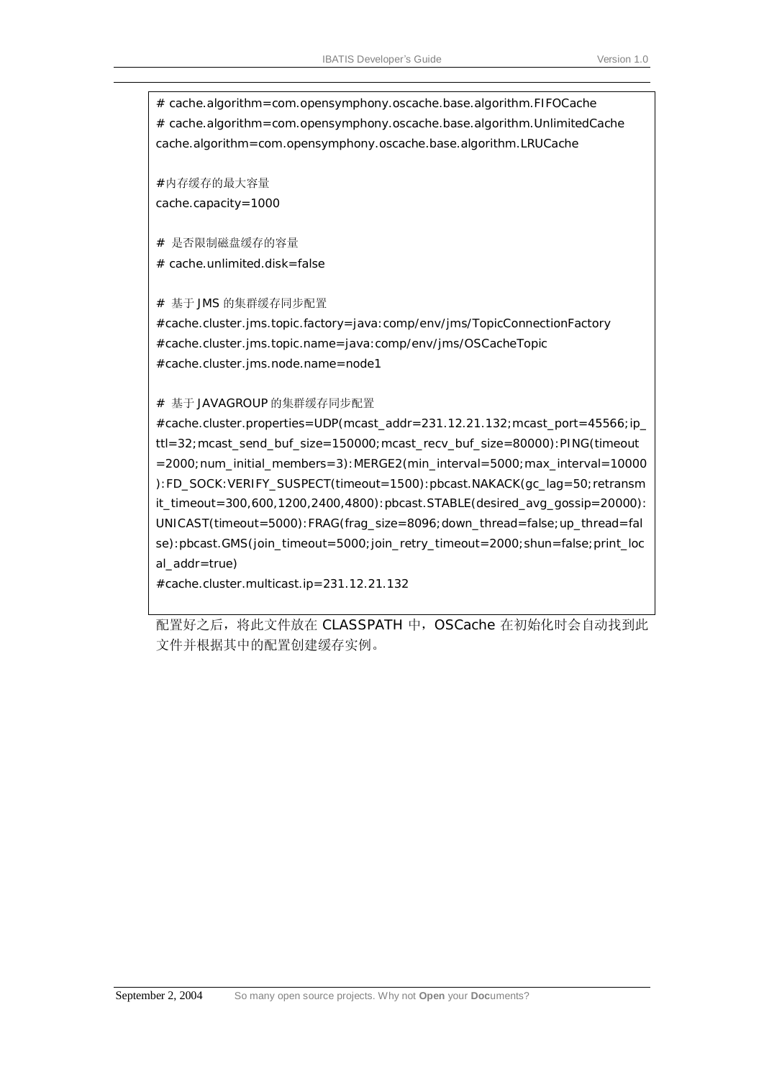# cache.algorithm=com.opensymphony.oscache.base.algorithm.FIFOCache # cache.algorithm=com.opensymphony.oscache.base.algorithm.UnlimitedCache cache.algorithm=com.opensymphony.oscache.base.algorithm.LRUCache

#内存缓存的最大容量 cache.capacity=1000

# 是否限制磁盘缓存的容量

# cache.unlimited.disk=false

# 基于 JMS 的集群缓存同步配置

#cache.cluster.jms.topic.factory=java:comp/env/jms/TopicConnectionFactory #cache.cluster.jms.topic.name=java:comp/env/jms/OSCacheTopic #cache.cluster.jms.node.name=node1

# 基于 JAVAGROUP 的集群缓存同步配置

#cache.cluster.properties=UDP(mcast\_addr=231.12.21.132;mcast\_port=45566;ip\_ ttl=32;mcast\_send\_buf\_size=150000;mcast\_recv\_buf\_size=80000):PING(timeout =2000;num\_initial\_members=3):MERGE2(min\_interval=5000;max\_interval=10000 ):FD\_SOCK:VERIFY\_SUSPECT(timeout=1500):pbcast.NAKACK(gc\_lag=50;retransm it\_timeout=300,600,1200,2400,4800):pbcast.STABLE(desired\_avg\_gossip=20000): UNICAST(timeout=5000):FRAG(frag\_size=8096;down\_thread=false;up\_thread=fal se):pbcast.GMS(join\_timeout=5000;join\_retry\_timeout=2000;shun=false;print\_loc al addr=true)

#cache.cluster.multicast.ip=231.12.21.132

配置好之后,将此文件放在 CLASSPATH 中, OSCache 在初始化时会自动找到此 文件并根据其中的配置创建缓存实例。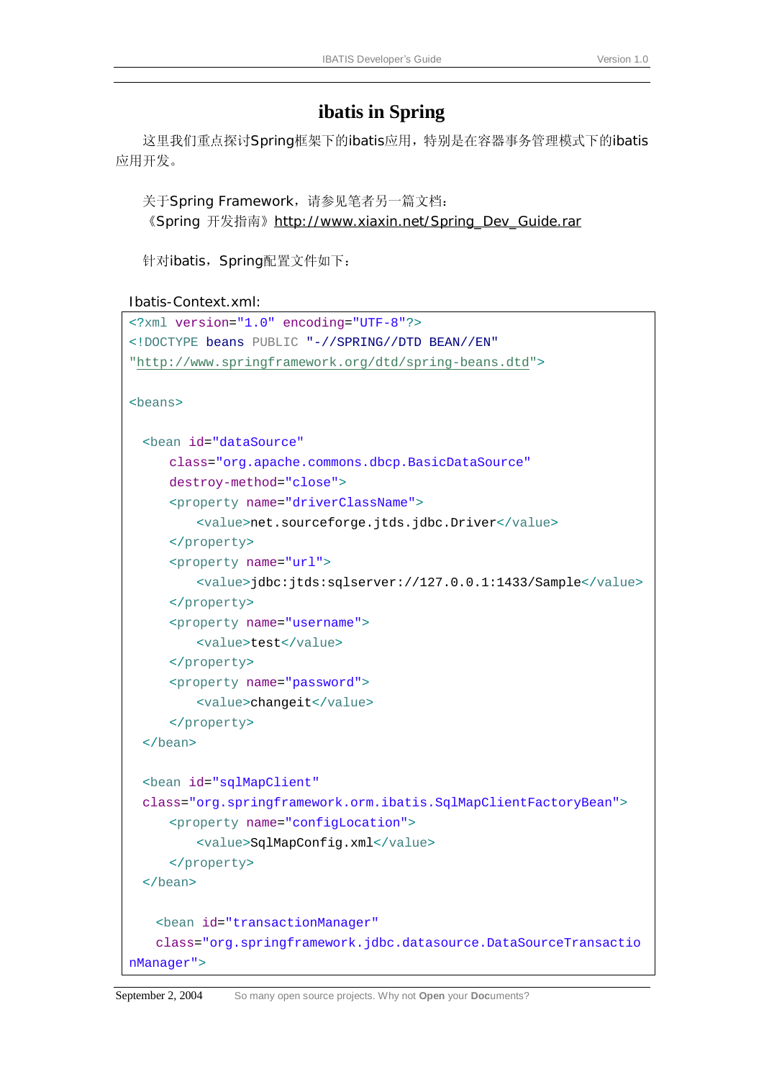## **ibatis in Spring**

这里我们重点探讨Spring框架下的ibatis应用,特别是在容器事务管理模式下的ibatis 应用开发。

```
关于Spring Framework, 请参见笔者另一篇文档:
```
《Spring 开发指南》[http://www.xiaxin.net/Spring\\_Dev\\_Guide.rar](http://www.xiaxin.net/Spring_Dev_Guide.rar)

针对ibatis, Spring配置文件如下:

Ibatis-Context.xml:

```
<?xml version="1.0" encoding="UTF-8"?>
<!DOCTYPE beans PUBLIC "-//SPRING//DTD BEAN//EN" 
"http://www.springframework.org/dtd/spring-beans.dtd">
<beans>
 <bean id="dataSource"
      class="org.apache.commons.dbcp.BasicDataSource"
      destroy-method="close">
      <property name="driverClassName">
          <value>net.sourceforge.jtds.jdbc.Driver</value>
      </property>
      <property name="url">
          <value>jdbc:jtds:sqlserver://127.0.0.1:1433/Sample</value>
      </property>
      <property name="username">
          <value>test</value>
      </property>
      <property name="password">
          <value>changeit</value>
      </property>
 </bean>
 <bean id="sqlMapClient"
 class="org.springframework.orm.ibatis.SqlMapClientFactoryBean">
      <property name="configLocation">
          <value>SqlMapConfig.xml</value>
      </property>
 </bean>
   <bean id="transactionManager" 
   class="org.springframework.jdbc.datasource.DataSourceTransactio
nManager">
```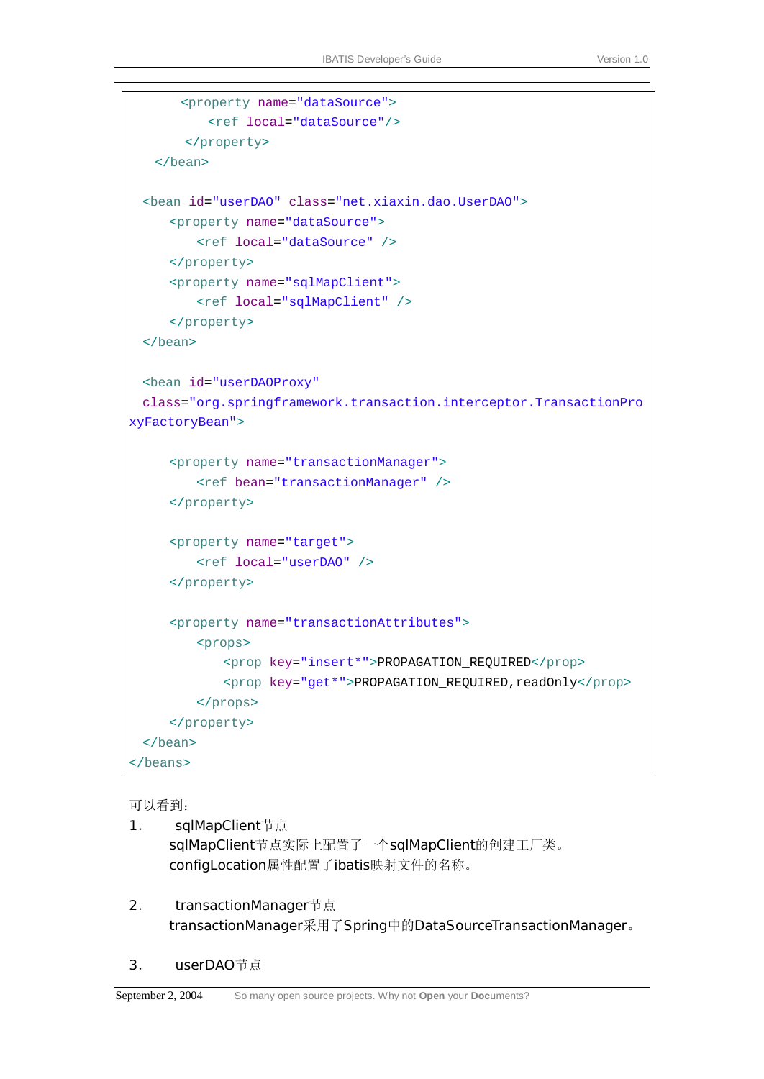```
 <property name="dataSource"> 
           <ref local="dataSource"/> 
       </property>
    </bean>
  <bean id="userDAO" class="net.xiaxin.dao.UserDAO">
      <property name="dataSource">
          <ref local="dataSource" />
      </property>
      <property name="sqlMapClient">
          <ref local="sqlMapClient" />
      </property>
  </bean>
  <bean id="userDAOProxy"
 class="org.springframework.transaction.interceptor.TransactionPro
xyFactoryBean">
      <property name="transactionManager">
          <ref bean="transactionManager" />
      </property>
      <property name="target">
          <ref local="userDAO" />
      </property>
      <property name="transactionAttributes">
          <props>
              <prop key="insert*">PROPAGATION_REQUIRED</prop>
              <prop key="get*">PROPAGATION_REQUIRED,readOnly</prop>
          </props>
      </property>
  </bean>
</beans>
```
可以看到:

- 1. sqlMapClient节点 sqlMapClient节点实际上配置了一个sqlMapClient的创建工厂类。 configLocation属性配置了ibatis映射文件的名称。
- 2. transactionManager节点 transactionManager采用了Spring中的DataSourceTransactionManager。
- 3. userDAO节点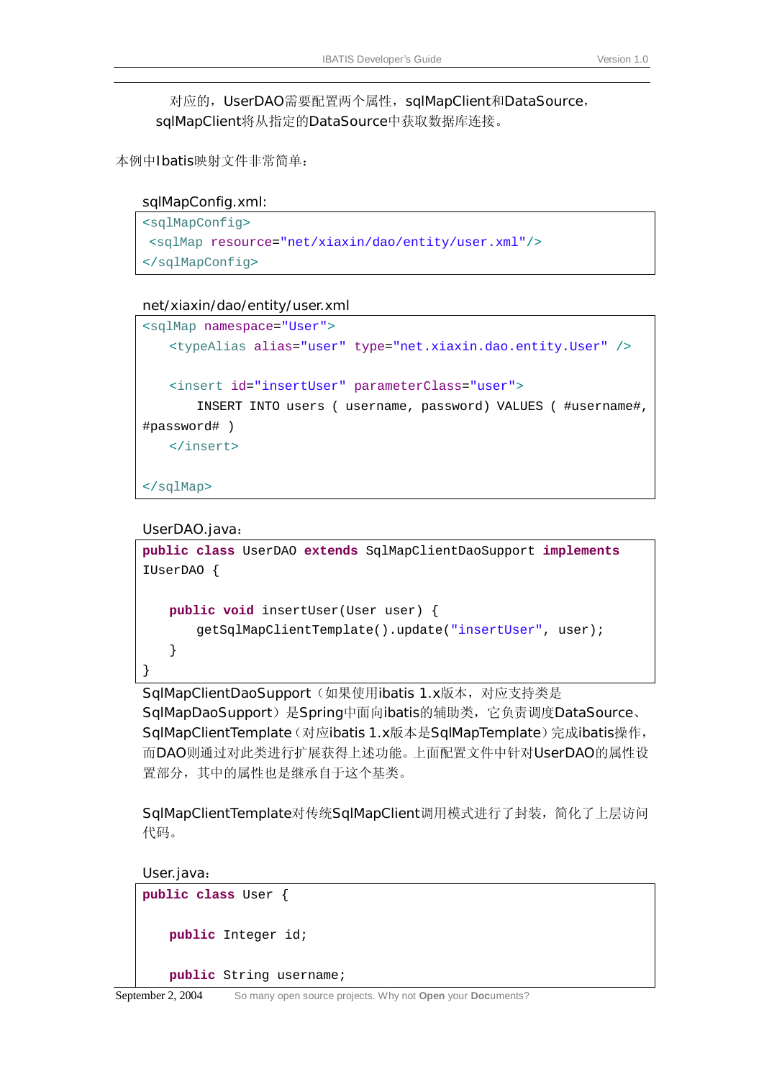对应的, UserDAO需要配置两个属性, sqlMapClient和DataSource, sqlMapClient将从指定的DataSource中获取数据库连接。

本例中Ibatis映射文件非常简单:

#### sqlMapConfig.xml:

```
<sqlMapConfig>
<sqlMap resource="net/xiaxin/dao/entity/user.xml"/>
</sqlMapConfig>
```
#### net/xiaxin/dao/entity/user.xml

```
<sqlMap namespace="User">
   <typeAlias alias="user" type="net.xiaxin.dao.entity.User" />
   <insert id="insertUser" parameterClass="user">
       INSERT INTO users ( username, password) VALUES ( #username#, 
#password# ) 
   </insert>
</sqlMap>
```
#### UserDAO.java:

```
public class UserDAO extends SqlMapClientDaoSupport implements
IUserDAO { 
   public void insertUser(User user) { 
       getSqlMapClientTemplate().update("insertUser", user); 
   } 
}
```
SqlMapClientDaoSupport(如果使用ibatis 1.x版本,对应支持类是 SqlMapDaoSupport)是Spring中面向ibatis的辅助类,它负责调度DataSource、 SqlMapClientTemplate(对应ibatis 1.x版本是SqlMapTemplate)完成ibatis操作, 而DAO则通过对此类进行扩展获得上述功能。上面配置文件中针对UserDAO的属性设 置部分,其中的属性也是继承自于这个基类。

SqlMapClientTemplate对传统SqlMapClient调用模式进行了封装,简化了上层访问 代码。

User.java:

```
public class User { 
   public Integer id; 
   public String username;
```